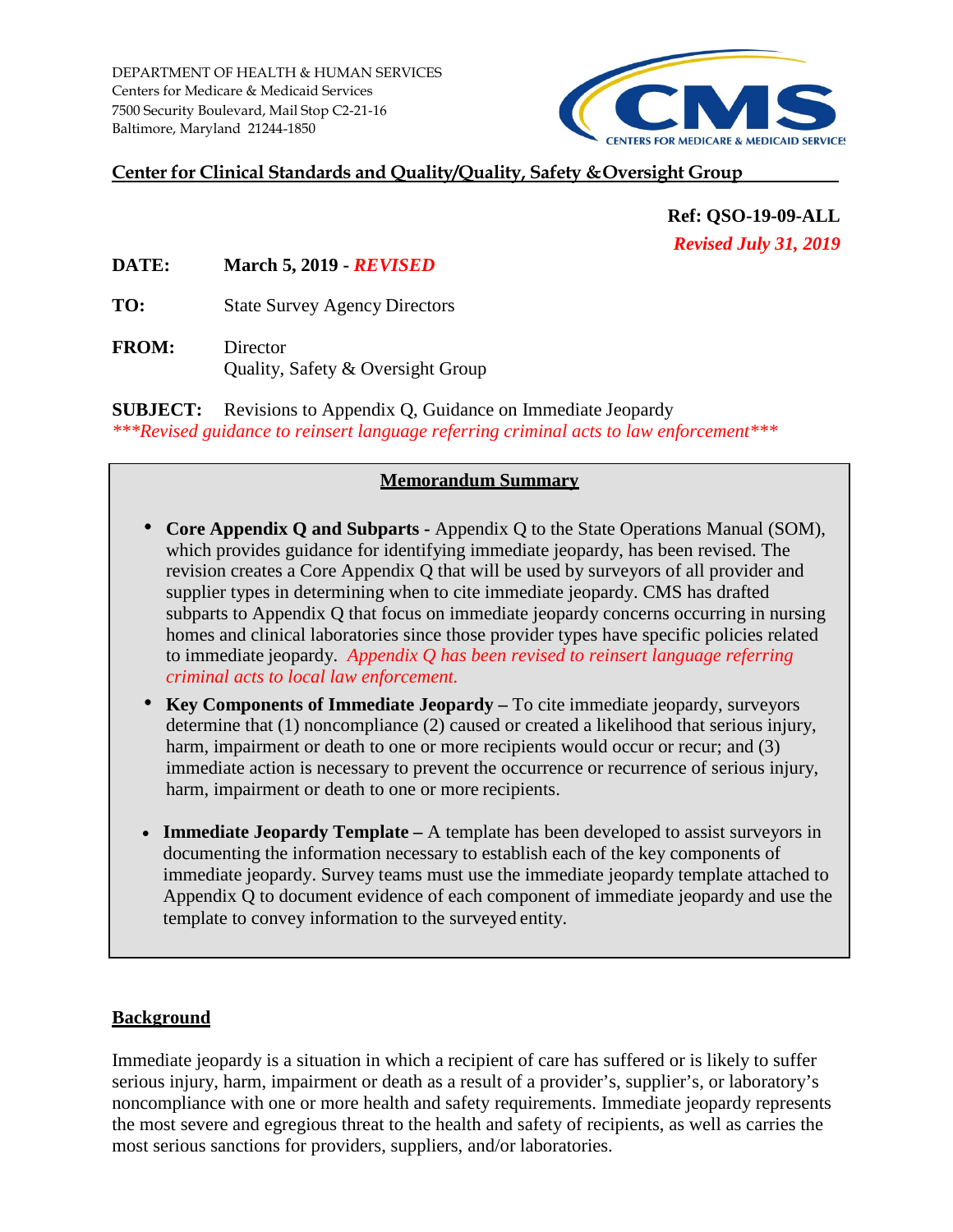DEPARTMENT OF HEALTH & HUMAN SERVICES Centers for Medicare & Medicaid Services 7500 Security Boulevard, Mail Stop C2-21-16 Baltimore, Maryland 21244-1850

# **CENTERS FOR MEDICARE & MEDICAID SERVICES**

#### **Center for Clinical Standards and Quality/Quality, Safety & Oversight Group**

**Ref: QSO-19-09-ALL** *Revised July 31, 2019* 

**DATE: March 5, 2019 -** *REVISED*

**TO:** State Survey Agency Directors

**FROM:** Director Quality, Safety & Oversight Group

**SUBJECT:** Revisions to Appendix Q, Guidance on Immediate Jeopardy *\*\*\*Revised guidance to reinsert language referring criminal acts to law enforcement\*\*\** 

#### **Memorandum Summary**

- **Core Appendix Q and Subparts** Appendix Q to the State Operations Manual (SOM), which provides guidance for identifying immediate jeopardy, has been revised. The revision creates a Core Appendix Q that will be used by surveyors of all provider and supplier types in determining when to cite immediate jeopardy. CMS has drafted subparts to Appendix Q that focus on immediate jeopardy concerns occurring in nursing homes and clinical laboratories since those provider types have specific policies related to immediate jeopardy. *Appendix Q has been revised to reinsert language referring criminal acts to local law enforcement.*
- **Key Components of Immediate Jeopardy** To cite immediate jeopardy, surveyors determine that (1) noncompliance (2) caused or created a likelihood that serious injury, harm, impairment or death to one or more recipients would occur or recur; and (3) immediate action is necessary to prevent the occurrence or recurrence of serious injury, harm, impairment or death to one or more recipients.
- **Immediate Jeopardy Template** A template has been developed to assist surveyors in documenting the information necessary to establish each of the key components of immediate jeopardy. Survey teams must use the immediate jeopardy template attached to Appendix Q to document evidence of each component of immediate jeopardy and use the template to convey information to the surveyed entity.

#### **Background**

Immediate jeopardy is a situation in which a recipient of care has suffered or is likely to suffer serious injury, harm, impairment or death as a result of a provider's, supplier's, or laboratory's noncompliance with one or more health and safety requirements. Immediate jeopardy represents the most severe and egregious threat to the health and safety of recipients, as well as carries the most serious sanctions for providers, suppliers, and/or laboratories.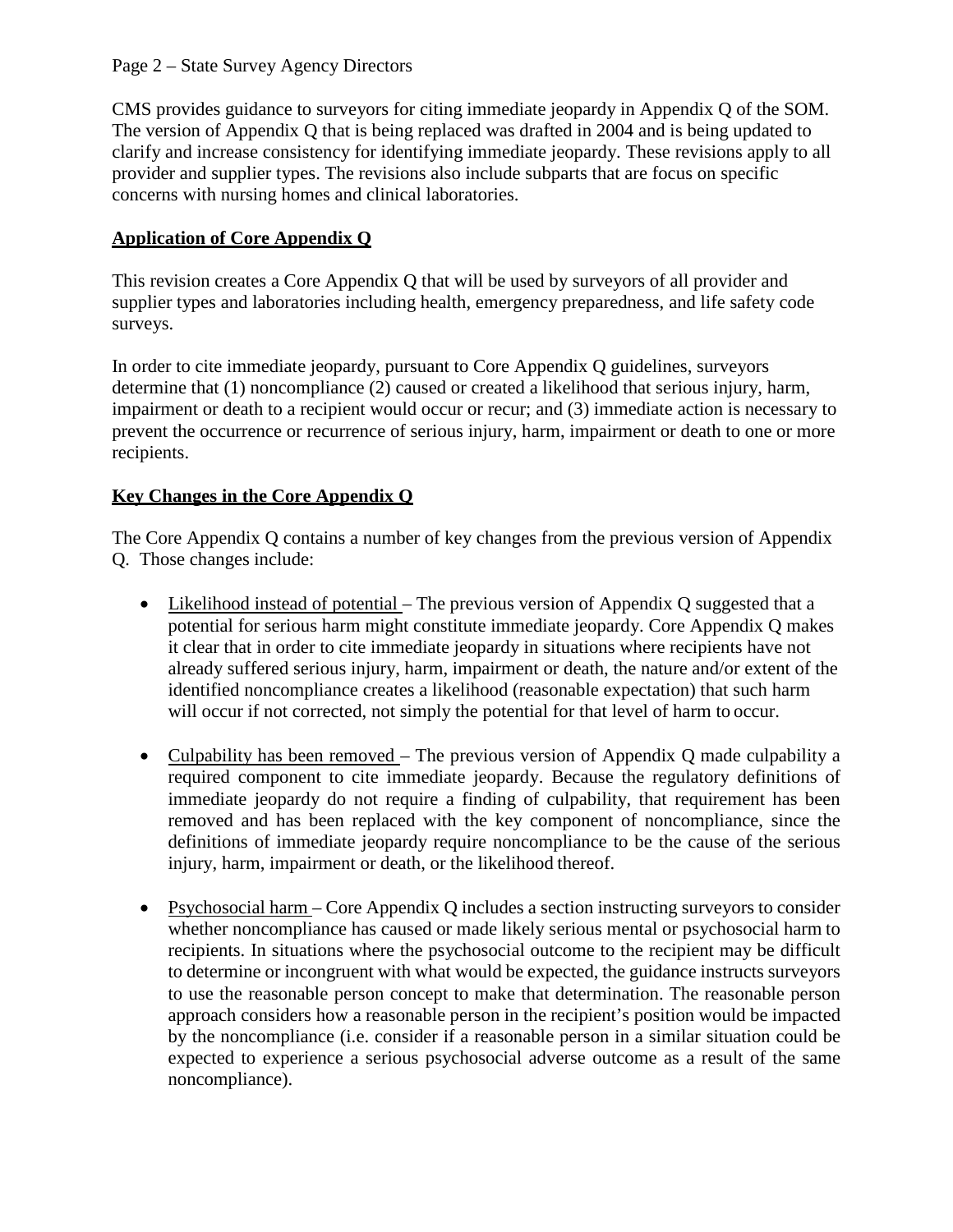CMS provides guidance to surveyors for citing immediate jeopardy in Appendix Q of the SOM. The version of Appendix Q that is being replaced was drafted in 2004 and is being updated to clarify and increase consistency for identifying immediate jeopardy. These revisions apply to all provider and supplier types. The revisions also include subparts that are focus on specific concerns with nursing homes and clinical laboratories.

# **Application of Core Appendix Q**

This revision creates a Core Appendix Q that will be used by surveyors of all provider and supplier types and laboratories including health, emergency preparedness, and life safety code surveys.

In order to cite immediate jeopardy, pursuant to Core Appendix Q guidelines, surveyors determine that (1) noncompliance (2) caused or created a likelihood that serious injury, harm, impairment or death to a recipient would occur or recur; and (3) immediate action is necessary to prevent the occurrence or recurrence of serious injury, harm, impairment or death to one or more recipients.

# **Key Changes in the Core Appendix Q**

The Core Appendix Q contains a number of key changes from the previous version of Appendix Q. Those changes include:

- Likelihood instead of potential The previous version of Appendix Q suggested that a potential for serious harm might constitute immediate jeopardy. Core Appendix Q makes it clear that in order to cite immediate jeopardy in situations where recipients have not already suffered serious injury, harm, impairment or death, the nature and/or extent of the identified noncompliance creates a likelihood (reasonable expectation) that such harm will occur if not corrected, not simply the potential for that level of harm to occur.
- Culpability has been removed The previous version of Appendix Q made culpability a required component to cite immediate jeopardy. Because the regulatory definitions of immediate jeopardy do not require a finding of culpability, that requirement has been removed and has been replaced with the key component of noncompliance, since the definitions of immediate jeopardy require noncompliance to be the cause of the serious injury, harm, impairment or death, or the likelihood thereof.
- Psychosocial harm Core Appendix Q includes a section instructing surveyors to consider whether noncompliance has caused or made likely serious mental or psychosocial harm to recipients. In situations where the psychosocial outcome to the recipient may be difficult to determine or incongruent with what would be expected, the guidance instructs surveyors to use the reasonable person concept to make that determination. The reasonable person approach considers how a reasonable person in the recipient's position would be impacted by the noncompliance (i.e. consider if a reasonable person in a similar situation could be expected to experience a serious psychosocial adverse outcome as a result of the same noncompliance).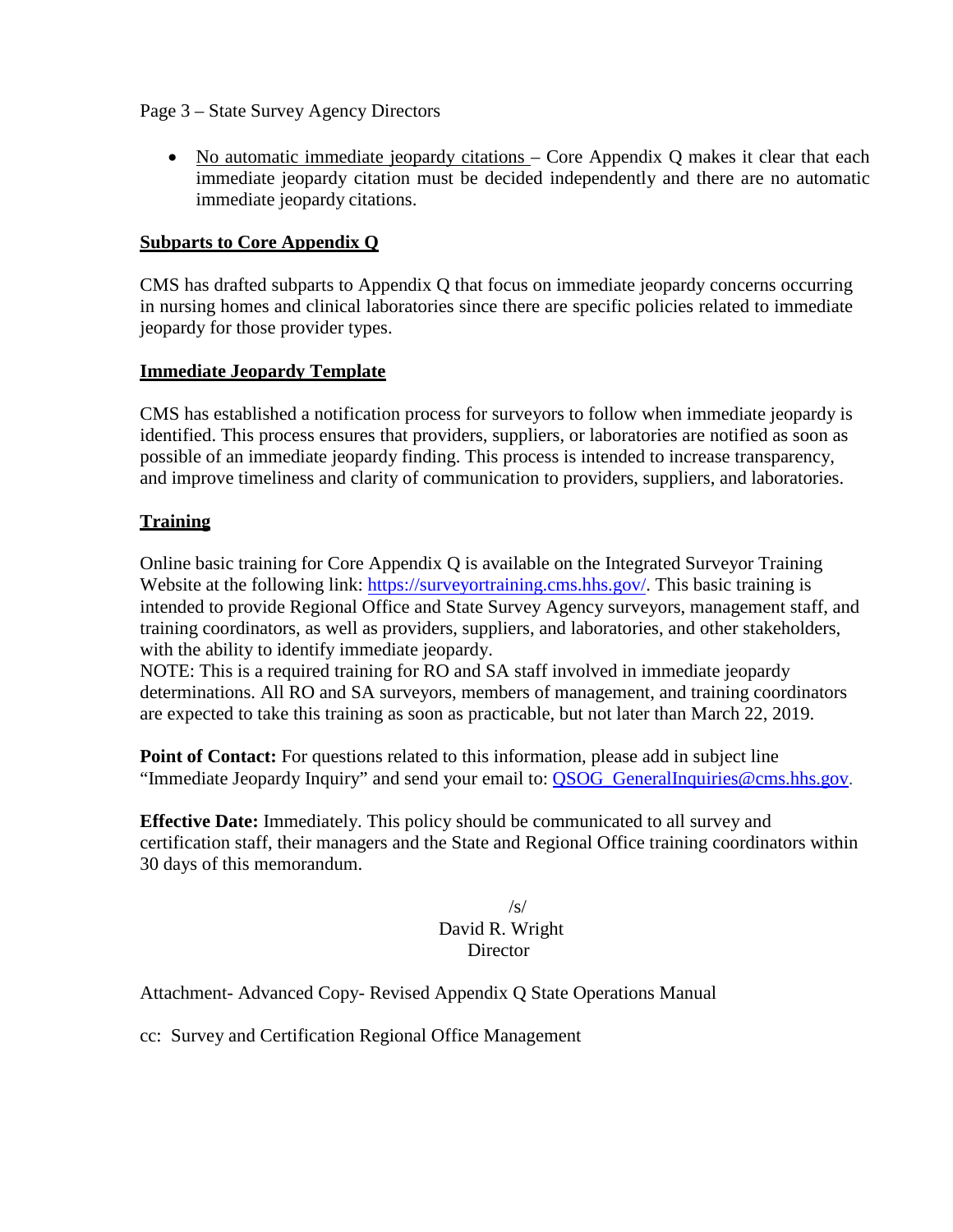#### Page 3 – State Survey Agency Directors

• No automatic immediate jeopardy citations – Core Appendix Q makes it clear that each immediate jeopardy citation must be decided independently and there are no automatic immediate jeopardy citations.

#### **Subparts to Core Appendix Q**

CMS has drafted subparts to Appendix Q that focus on immediate jeopardy concerns occurring in nursing homes and clinical laboratories since there are specific policies related to immediate jeopardy for those provider types.

#### **Immediate Jeopardy Template**

CMS has established a notification process for surveyors to follow when immediate jeopardy is identified. This process ensures that providers, suppliers, or laboratories are notified as soon as possible of an immediate jeopardy finding. This process is intended to increase transparency, and improve timeliness and clarity of communication to providers, suppliers, and laboratories.

#### **Training**

Online basic training for Core Appendix Q is available on the Integrated Surveyor Training Website at the following link: [https://surveyortraining.cms.hhs.gov/.](https://surveyortraining.cms.hhs.gov/) This basic training is intended to provide Regional Office and State Survey Agency surveyors, management staff, and training coordinators, as well as providers, suppliers, and laboratories, and other stakeholders, with the ability to identify immediate jeopardy.

NOTE: This is a required training for RO and SA staff involved in immediate jeopardy determinations. All RO and SA surveyors, members of management, and training coordinators are expected to take this training as soon as practicable, but not later than March 22, 2019.

**Point of Contact:** For questions related to this information, please add in subject line "Immediate Jeopardy Inquiry" and send your email to: [QSOG\\_GeneralInquiries@cms.hhs.gov.](mailto:QSOG_GeneralInquiries@cms.hhs.gov)

**Effective Date:** Immediately. This policy should be communicated to all survey and certification staff, their managers and the State and Regional Office training coordinators within 30 days of this memorandum.

#### /s/ David R. Wright **Director**

Attachment- Advanced Copy- Revised Appendix Q State Operations Manual

cc: Survey and Certification Regional Office Management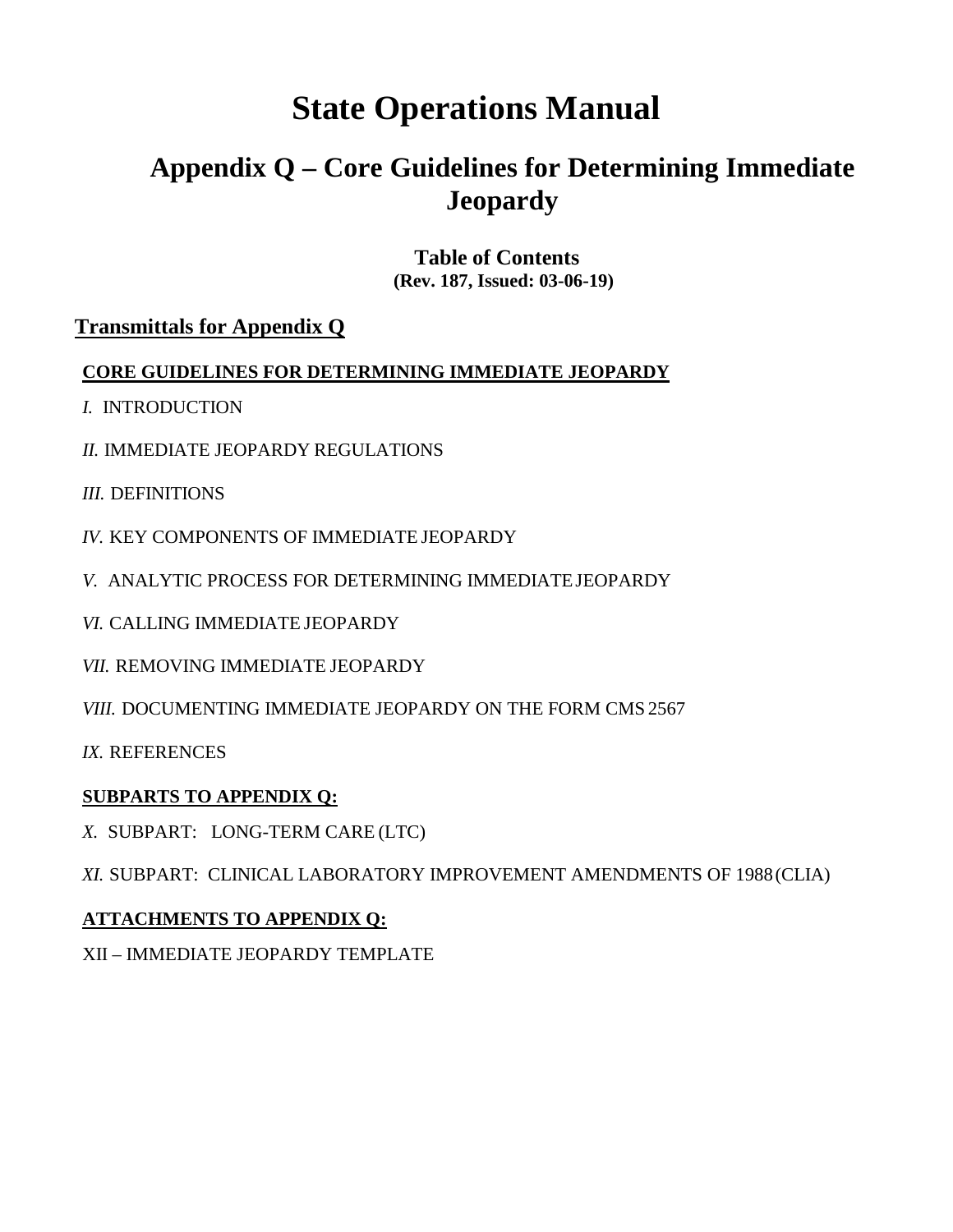# **State Operations Manual**

# **Appendix Q – Core Guidelines for Determining Immediate Jeopardy**

# **Table of Contents (Rev. 187, Issued: 03-06-19)**

# **[Transmittals for Appendix Q](#page-24-0)**

# **CORE GUIDELINES FOR DETERMINING IMMEDIATE JEOPARDY**

- *I.* [INTRODUCTION](#page-4-0)
- *II.* [IMMEDIATE JEOPARDY](#page-4-1) REGULATIONS
- *III.* [DEFINITIONS](#page-5-0)
- *IV.* [KEY COMPONENTS OF IMMEDIATE](#page-6-0) JEOPARDY
- *V.* [ANALYTIC PROCESS FOR DETERMINING IMMEDIATEJEOPARDY](#page-6-1)
- *VI.* [CALLING IMMEDIATE](#page-10-0) JEOPARDY
- *VII.* [REMOVING IMMEDIATE](#page-11-0) JEOPARDY
- *VIII.* [DOCUMENTING IMMEDIATE JEOPARDY ON THE FORM CMS](#page-13-0) 2567

*IX.* [REFERENCES](#page-14-0)

# **SUBPARTS TO APPENDIX Q:**

*X.* [SUBPART: LONG-TERM CARE](#page-15-0) (LTC)

*XI.* [SUBPART: CLINICAL LABORATORY IMPROVEMENT AMENDMENTS OF 1988\(CLIA\)](#page-19-0)

# **ATTACHMENTS TO APPENDIX Q:**

XII – [IMMEDIATE JEOPARDY TEMPLATE](#page-22-0)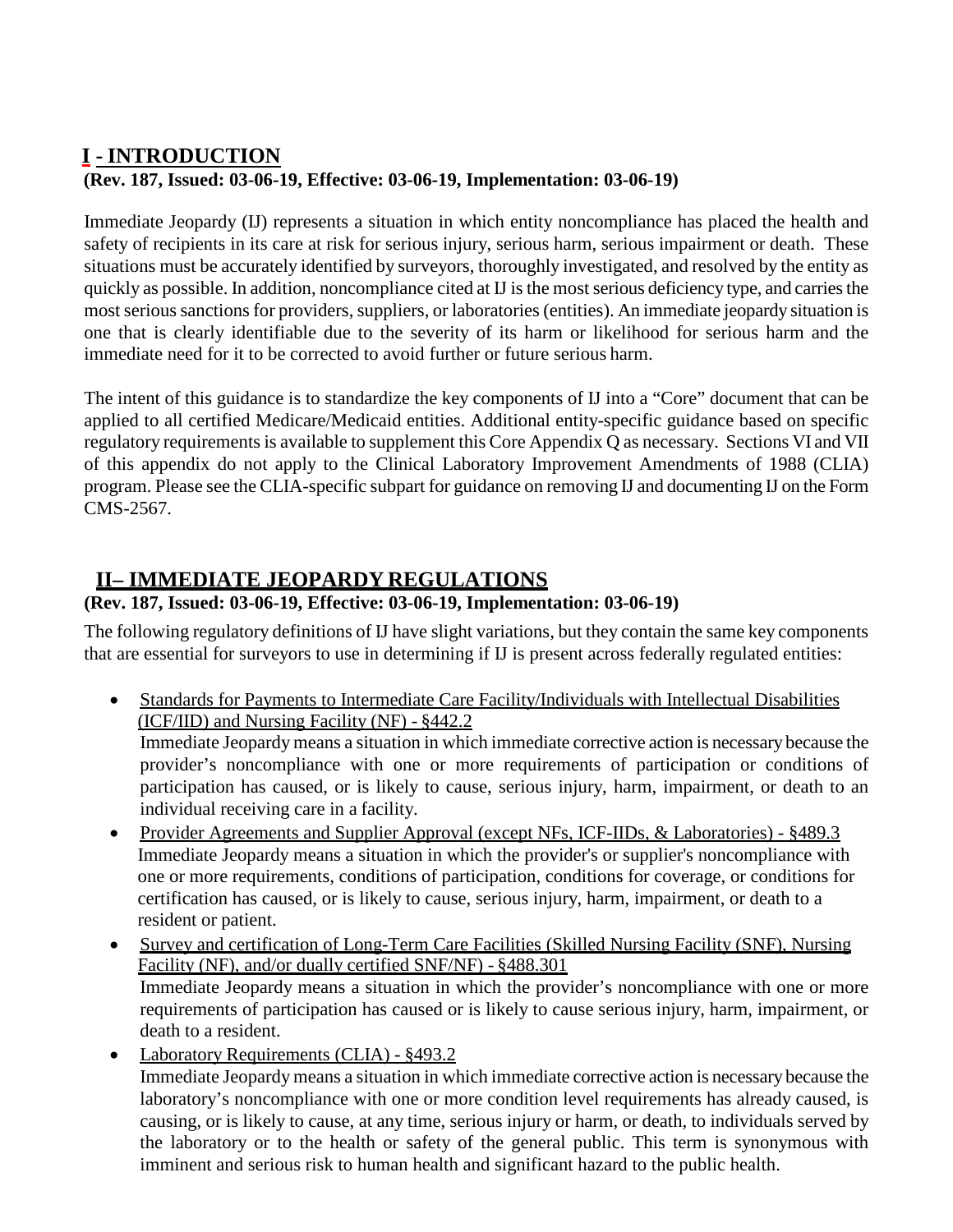# <span id="page-4-0"></span>**I - INTRODUCTION (Rev. 187, Issued: 03-06-19, Effective: 03-06-19, Implementation: 03-06-19)**

Immediate Jeopardy (IJ) represents a situation in which entity noncompliance has placed the health and safety of recipients in its care at risk for serious injury, serious harm, serious impairment or death. These situations must be accurately identified by surveyors, thoroughly investigated, and resolved by the entity as quickly as possible. In addition, noncompliance cited at IJ is the most serious deficiency type, and carries the most serious sanctions for providers, suppliers, or laboratories (entities). An immediate jeopardy situation is one that is clearly identifiable due to the severity of its harm or likelihood for serious harm and the immediate need for it to be corrected to avoid further or future serious harm.

The intent of this guidance is to standardize the key components of IJ into a "Core" document that can be applied to all certified Medicare/Medicaid entities. Additional entity-specific guidance based on specific regulatory requirements is available to supplement this Core Appendix Q as necessary. Sections VI and VII of this appendix do not apply to the Clinical Laboratory Improvement Amendments of 1988 (CLIA) program. Please see the CLIA-specific subpart for guidance on removing IJ and documenting IJ on the Form CMS-2567.

# <span id="page-4-1"></span>**II– IMMEDIATE JEOPARDY REGULATIONS**

# **(Rev. 187, Issued: 03-06-19, Effective: 03-06-19, Implementation: 03-06-19)**

The following regulatory definitions of IJ have slight variations, but they contain the same key components that are essential for surveyors to use in determining if IJ is present across federally regulated entities:

• Standards for Payments to Intermediate Care Facility/Individuals with Intellectual Disabilities (ICF/IID) and Nursing Facility (NF) - §442.2

Immediate Jeopardy means a situation in which immediate corrective action is necessary because the provider's noncompliance with one or more requirements of participation or conditions of participation has caused, or is likely to cause, serious injury, harm, impairment, or death to an individual receiving care in a facility.

- Provider Agreements and Supplier Approval (except NFs, ICF-IIDs, & Laboratories) §489.3 Immediate Jeopardy means a situation in which the provider's or supplier's noncompliance with one or more requirements, conditions of participation, conditions for coverage, or conditions for certification has caused, or is likely to cause, serious injury, harm, impairment, or death to a resident or patient.
- Survey and certification of Long-Term Care Facilities (Skilled Nursing Facility (SNF), Nursing Facility (NF), and/or dually certified SNF/NF) - §488.301 Immediate Jeopardy means a situation in which the provider's noncompliance with one or more requirements of participation has caused or is likely to cause serious injury, harm, impairment, or death to a resident.
- Laboratory Requirements (CLIA)  $8493.2$ Immediate Jeopardy means a situation in which immediate corrective action is necessary because the laboratory's noncompliance with one or more condition level requirements has already caused, is causing, or is likely to cause, at any time, serious injury or harm, or death, to individuals served by the laboratory or to the health or safety of the general public. This term is synonymous with imminent and serious risk to human health and significant hazard to the public health.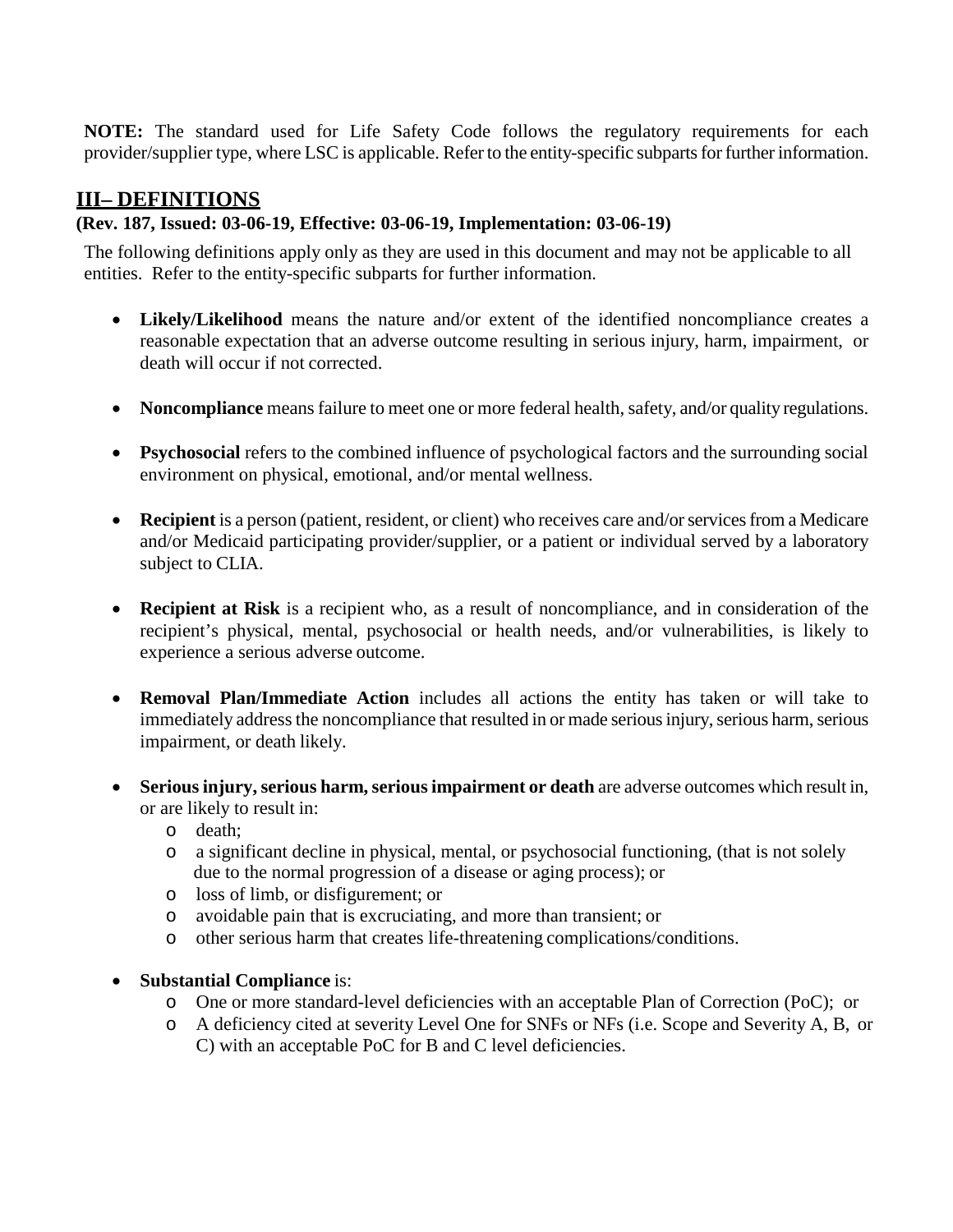**NOTE:** The standard used for Life Safety Code follows the regulatory requirements for each provider/supplier type, where LSC is applicable. Refer to the entity-specific subparts for further information.

# <span id="page-5-0"></span>**III– DEFINITIONS**

## **(Rev. 187, Issued: 03-06-19, Effective: 03-06-19, Implementation: 03-06-19)**

The following definitions apply only as they are used in this document and may not be applicable to all entities. Refer to the entity-specific subparts for further information.

- **Likely/Likelihood** means the nature and/or extent of the identified noncompliance creates a reasonable expectation that an adverse outcome resulting in serious injury, harm, impairment, or death will occur if not corrected.
- **Noncompliance** means failure to meet one or more federal health, safety, and/or quality regulations.
- **Psychosocial** refers to the combined influence of psychological factors and the surrounding social environment on physical, emotional, and/or mental wellness.
- **Recipient** is a person (patient, resident, or client) who receives care and/or services from a Medicare and/or Medicaid participating provider/supplier, or a patient or individual served by a laboratory subject to CLIA.
- **Recipient at Risk** is a recipient who, as a result of noncompliance, and in consideration of the recipient's physical, mental, psychosocial or health needs, and/or vulnerabilities, is likely to experience a serious adverse outcome.
- **Removal Plan/Immediate Action** includes all actions the entity has taken or will take to immediately address the noncompliance that resulted in or made serious injury, serious harm, serious impairment, or death likely.
- **Serious injury, serious harm, serious impairment or death** are adverse outcomes which result in, or are likely to result in:
	- o death;
	- o a significant decline in physical, mental, or psychosocial functioning, (that is not solely due to the normal progression of a disease or aging process); or
	- o loss of limb, or disfigurement; or
	- o avoidable pain that is excruciating, and more than transient; or
	- o other serious harm that creates life-threatening complications/conditions.
- **Substantial Compliance** is:
	- o One or more standard-level deficiencies with an acceptable Plan of Correction (PoC); or
	- o A deficiency cited at severity Level One for SNFs or NFs (i.e. Scope and Severity A, B, or C) with an acceptable PoC for B and C level deficiencies.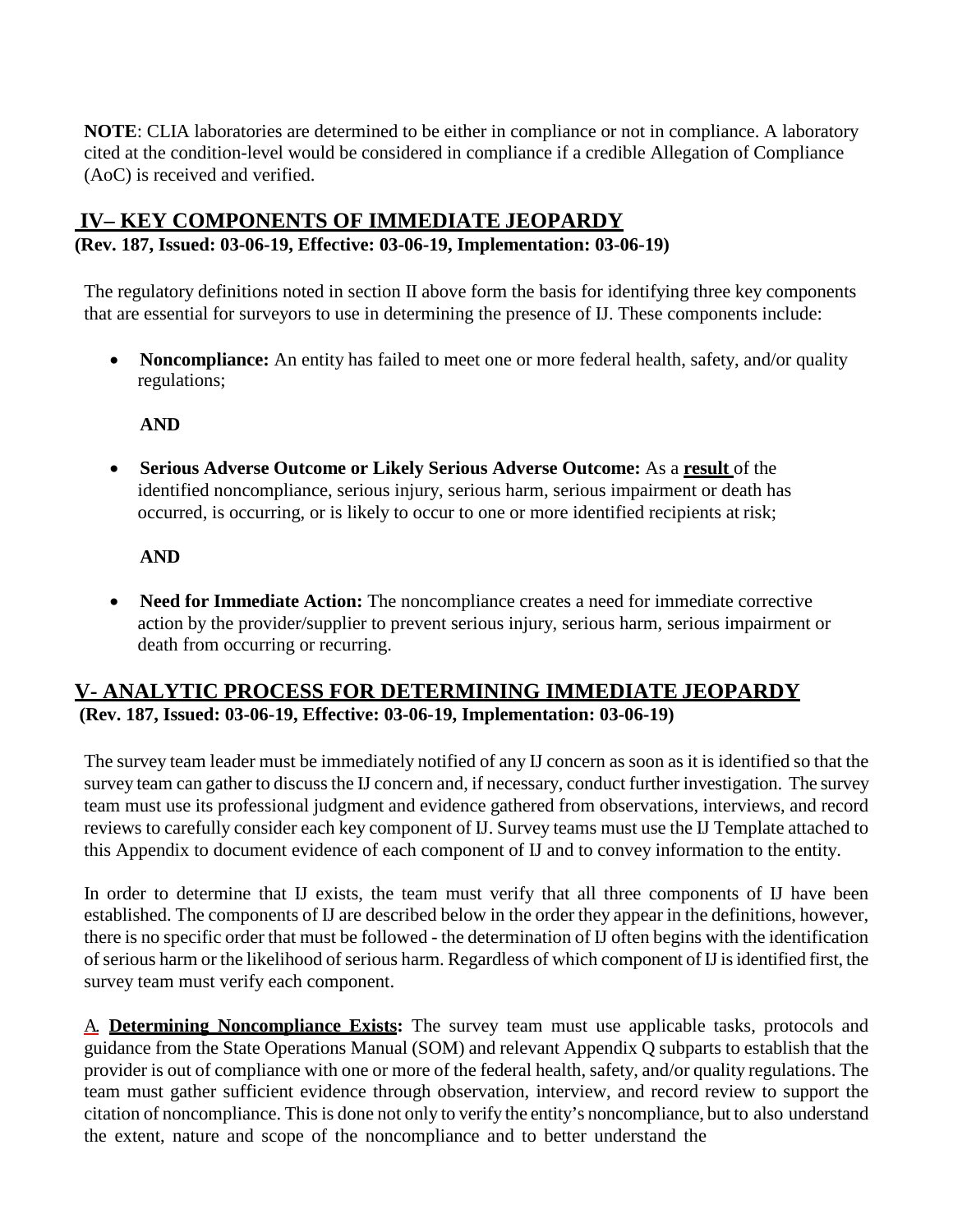**NOTE**: CLIA laboratories are determined to be either in compliance or not in compliance. A laboratory cited at the condition-level would be considered in compliance if a credible Allegation of Compliance (AoC) is received and verified.

# <span id="page-6-0"></span>**IV– KEY COMPONENTS OF IMMEDIATE JEOPARDY**

#### **(Rev. 187, Issued: 03-06-19, Effective: 03-06-19, Implementation: 03-06-19)**

The regulatory definitions noted in section II above form the basis for identifying three key components that are essential for surveyors to use in determining the presence of IJ. These components include:

• **Noncompliance:** An entity has failed to meet one or more federal health, safety, and/or quality regulations;

#### **AND**

• **Serious Adverse Outcome or Likely Serious Adverse Outcome:** As a **result** of the identified noncompliance, serious injury, serious harm, serious impairment or death has occurred, is occurring, or is likely to occur to one or more identified recipients at risk;

#### **AND**

• **Need for Immediate Action:** The noncompliance creates a need for immediate corrective action by the provider/supplier to prevent serious injury, serious harm, serious impairment or death from occurring or recurring.

# <span id="page-6-1"></span>**V- ANALYTIC PROCESS FOR DETERMINING IMMEDIATE JEOPARDY (Rev. 187, Issued: 03-06-19, Effective: 03-06-19, Implementation: 03-06-19)**

The survey team leader must be immediately notified of any IJ concern as soon as it is identified so that the survey team can gather to discuss the IJ concern and, if necessary, conduct further investigation. The survey team must use its professional judgment and evidence gathered from observations, interviews, and record reviews to carefully consider each key component of IJ. Survey teams must use the IJ Template attached to this Appendix to document evidence of each component of IJ and to convey information to the entity.

In order to determine that IJ exists, the team must verify that all three components of IJ have been established. The components of IJ are described below in the order they appear in the definitions, however, there is no specific order that must be followed - the determination of IJ often begins with the identification of serious harm or the likelihood of serious harm. Regardless of which component of IJ is identified first, the survey team must verify each component.

A. **Determining Noncompliance Exists:** The survey team must use applicable tasks, protocols and guidance from the State Operations Manual (SOM) and relevant Appendix Q subparts to establish that the provider is out of compliance with one or more of the federal health, safety, and/or quality regulations. The team must gather sufficient evidence through observation, interview, and record review to support the citation of noncompliance. This is done not only to verify the entity's noncompliance, but to also understand the extent, nature and scope of the noncompliance and to better understand the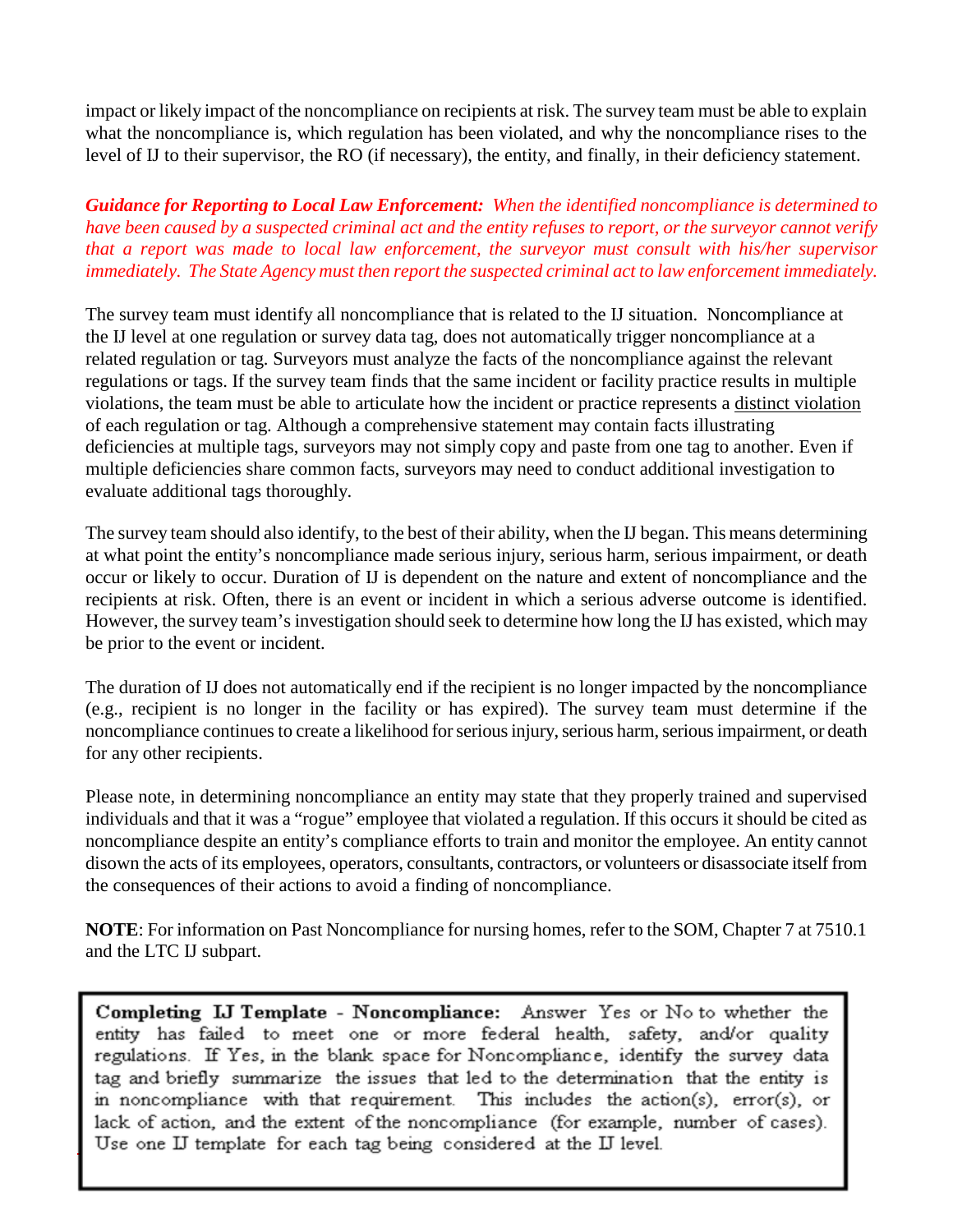impact or likely impact of the noncompliance on recipients at risk. The survey team must be able to explain what the noncompliance is, which regulation has been violated, and why the noncompliance rises to the level of IJ to their supervisor, the RO (if necessary), the entity, and finally, in their deficiency statement.

## *Guidance for Reporting to Local Law Enforcement: When the identified noncompliance is determined to have been caused by a suspected criminal act and the entity refuses to report, or the surveyor cannot verify that a report was made to local law enforcement, the surveyor must consult with his/her supervisor immediately. The State Agency must then report the suspected criminal act to law enforcement immediately.*

The survey team must identify all noncompliance that is related to the IJ situation. Noncompliance at the IJ level at one regulation or survey data tag, does not automatically trigger noncompliance at a related regulation or tag. Surveyors must analyze the facts of the noncompliance against the relevant regulations or tags. If the survey team finds that the same incident or facility practice results in multiple violations, the team must be able to articulate how the incident or practice represents a distinct violation of each regulation or tag. Although a comprehensive statement may contain facts illustrating deficiencies at multiple tags, surveyors may not simply copy and paste from one tag to another. Even if multiple deficiencies share common facts, surveyors may need to conduct additional investigation to evaluate additional tags thoroughly.

The survey team should also identify, to the best of their ability, when the IJ began. This means determining at what point the entity's noncompliance made serious injury, serious harm, serious impairment, or death occur or likely to occur. Duration of IJ is dependent on the nature and extent of noncompliance and the recipients at risk. Often, there is an event or incident in which a serious adverse outcome is identified. However, the survey team's investigation should seek to determine how long the IJ has existed, which may be prior to the event or incident.

The duration of IJ does not automatically end if the recipient is no longer impacted by the noncompliance (e.g., recipient is no longer in the facility or has expired). The survey team must determine if the noncompliance continues to create a likelihood for serious injury, serious harm, serious impairment, or death for any other recipients.

Please note, in determining noncompliance an entity may state that they properly trained and supervised individuals and that it was a "rogue" employee that violated a regulation. If this occurs it should be cited as noncompliance despite an entity's compliance efforts to train and monitor the employee. An entity cannot disown the acts of its employees, operators, consultants, contractors, or volunteers or disassociate itself from the consequences of their actions to avoid a finding of noncompliance.

**NOTE**: For information on Past Noncompliance for nursing homes, refer to the SOM, Chapter 7 at 7510.1 and the LTC IJ subpart.

Completing IJ Template - Noncompliance: Answer Yes or No to whether the entity has failed to meet one or more federal health, safety, and/or quality regulations. If Yes, in the blank space for Noncompliance, identify the survey data tag and briefly summarize the issues that led to the determination that the entity is in noncompliance with that requirement. This includes the action(s), error(s), or lack of action, and the extent of the noncompliance (for example, number of cases). Use one IJ template for each tag being considered at the IJ level.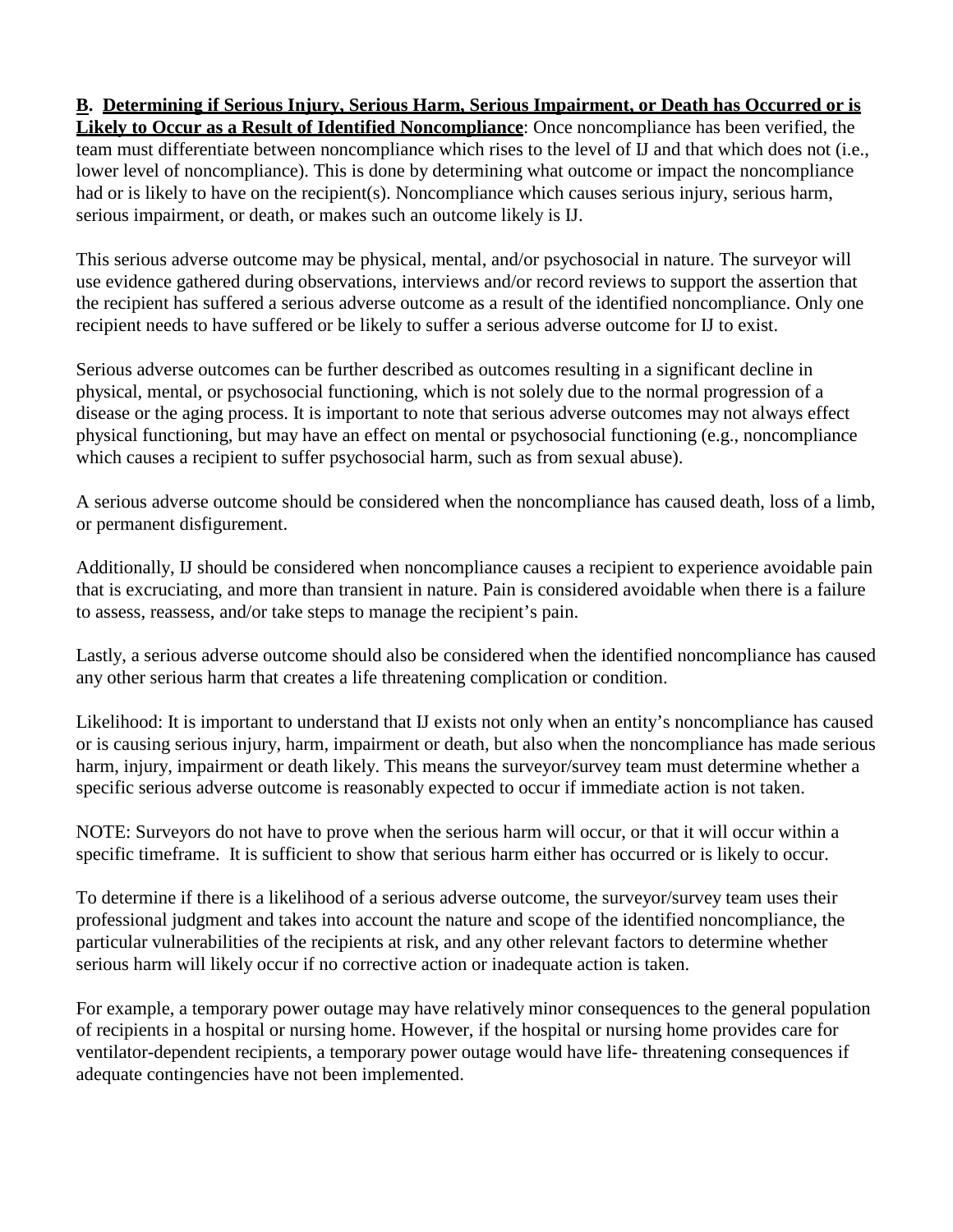**B. Determining if Serious Injury, Serious Harm, Serious Impairment, or Death has Occurred or is Likely to Occur as a Result of Identified Noncompliance**: Once noncompliance has been verified, the team must differentiate between noncompliance which rises to the level of IJ and that which does not (i.e., lower level of noncompliance). This is done by determining what outcome or impact the noncompliance had or is likely to have on the recipient(s). Noncompliance which causes serious injury, serious harm, serious impairment, or death, or makes such an outcome likely is IJ.

This serious adverse outcome may be physical, mental, and/or psychosocial in nature. The surveyor will use evidence gathered during observations, interviews and/or record reviews to support the assertion that the recipient has suffered a serious adverse outcome as a result of the identified noncompliance. Only one recipient needs to have suffered or be likely to suffer a serious adverse outcome for IJ to exist.

Serious adverse outcomes can be further described as outcomes resulting in a significant decline in physical, mental, or psychosocial functioning, which is not solely due to the normal progression of a disease or the aging process. It is important to note that serious adverse outcomes may not always effect physical functioning, but may have an effect on mental or psychosocial functioning (e.g., noncompliance which causes a recipient to suffer psychosocial harm, such as from sexual abuse).

A serious adverse outcome should be considered when the noncompliance has caused death, loss of a limb, or permanent disfigurement.

Additionally, IJ should be considered when noncompliance causes a recipient to experience avoidable pain that is excruciating, and more than transient in nature. Pain is considered avoidable when there is a failure to assess, reassess, and/or take steps to manage the recipient's pain.

Lastly, a serious adverse outcome should also be considered when the identified noncompliance has caused any other serious harm that creates a life threatening complication or condition.

Likelihood: It is important to understand that IJ exists not only when an entity's noncompliance has caused or is causing serious injury, harm, impairment or death, but also when the noncompliance has made serious harm, injury, impairment or death likely. This means the surveyor/survey team must determine whether a specific serious adverse outcome is reasonably expected to occur if immediate action is not taken.

NOTE: Surveyors do not have to prove when the serious harm will occur, or that it will occur within a specific timeframe. It is sufficient to show that serious harm either has occurred or is likely to occur.

To determine if there is a likelihood of a serious adverse outcome, the surveyor/survey team uses their professional judgment and takes into account the nature and scope of the identified noncompliance, the particular vulnerabilities of the recipients at risk, and any other relevant factors to determine whether serious harm will likely occur if no corrective action or inadequate action is taken.

For example, a temporary power outage may have relatively minor consequences to the general population of recipients in a hospital or nursing home. However, if the hospital or nursing home provides care for ventilator-dependent recipients, a temporary power outage would have life- threatening consequences if adequate contingencies have not been implemented.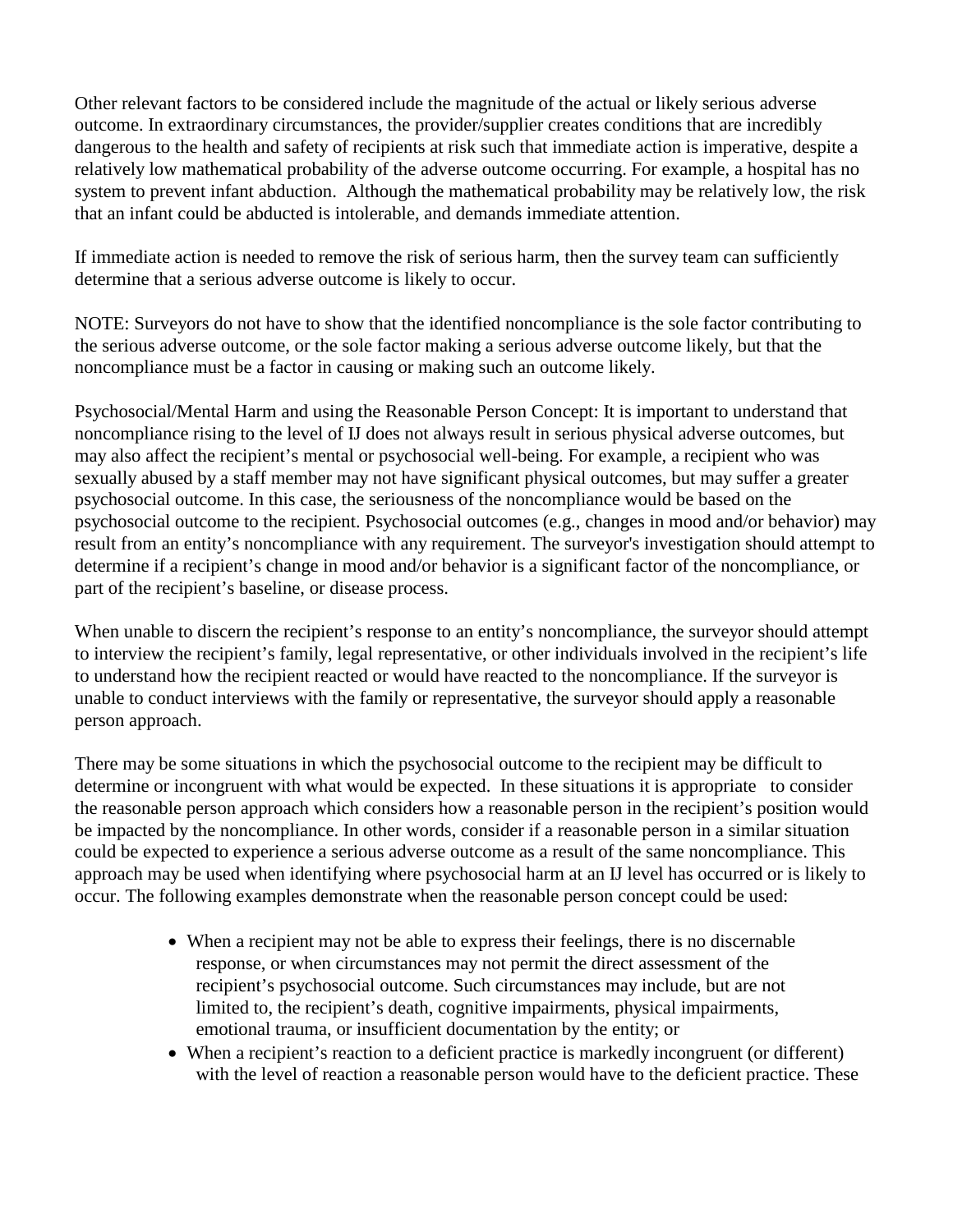Other relevant factors to be considered include the magnitude of the actual or likely serious adverse outcome. In extraordinary circumstances, the provider/supplier creates conditions that are incredibly dangerous to the health and safety of recipients at risk such that immediate action is imperative, despite a relatively low mathematical probability of the adverse outcome occurring. For example, a hospital has no system to prevent infant abduction. Although the mathematical probability may be relatively low, the risk that an infant could be abducted is intolerable, and demands immediate attention.

If immediate action is needed to remove the risk of serious harm, then the survey team can sufficiently determine that a serious adverse outcome is likely to occur.

NOTE: Surveyors do not have to show that the identified noncompliance is the sole factor contributing to the serious adverse outcome, or the sole factor making a serious adverse outcome likely, but that the noncompliance must be a factor in causing or making such an outcome likely.

Psychosocial/Mental Harm and using the Reasonable Person Concept: It is important to understand that noncompliance rising to the level of IJ does not always result in serious physical adverse outcomes, but may also affect the recipient's mental or psychosocial well-being. For example, a recipient who was sexually abused by a staff member may not have significant physical outcomes, but may suffer a greater psychosocial outcome. In this case, the seriousness of the noncompliance would be based on the psychosocial outcome to the recipient. Psychosocial outcomes (e.g., changes in mood and/or behavior) may result from an entity's noncompliance with any requirement. The surveyor's investigation should attempt to determine if a recipient's change in mood and/or behavior is a significant factor of the noncompliance, or part of the recipient's baseline, or disease process.

When unable to discern the recipient's response to an entity's noncompliance, the surveyor should attempt to interview the recipient's family, legal representative, or other individuals involved in the recipient's life to understand how the recipient reacted or would have reacted to the noncompliance. If the surveyor is unable to conduct interviews with the family or representative, the surveyor should apply a reasonable person approach.

There may be some situations in which the psychosocial outcome to the recipient may be difficult to determine or incongruent with what would be expected. In these situations it is appropriate to consider the reasonable person approach which considers how a reasonable person in the recipient's position would be impacted by the noncompliance. In other words, consider if a reasonable person in a similar situation could be expected to experience a serious adverse outcome as a result of the same noncompliance. This approach may be used when identifying where psychosocial harm at an IJ level has occurred or is likely to occur. The following examples demonstrate when the reasonable person concept could be used:

- When a recipient may not be able to express their feelings, there is no discernable response, or when circumstances may not permit the direct assessment of the recipient's psychosocial outcome. Such circumstances may include, but are not limited to, the recipient's death, cognitive impairments, physical impairments, emotional trauma, or insufficient documentation by the entity; or
- When a recipient's reaction to a deficient practice is markedly incongruent (or different) with the level of reaction a reasonable person would have to the deficient practice. These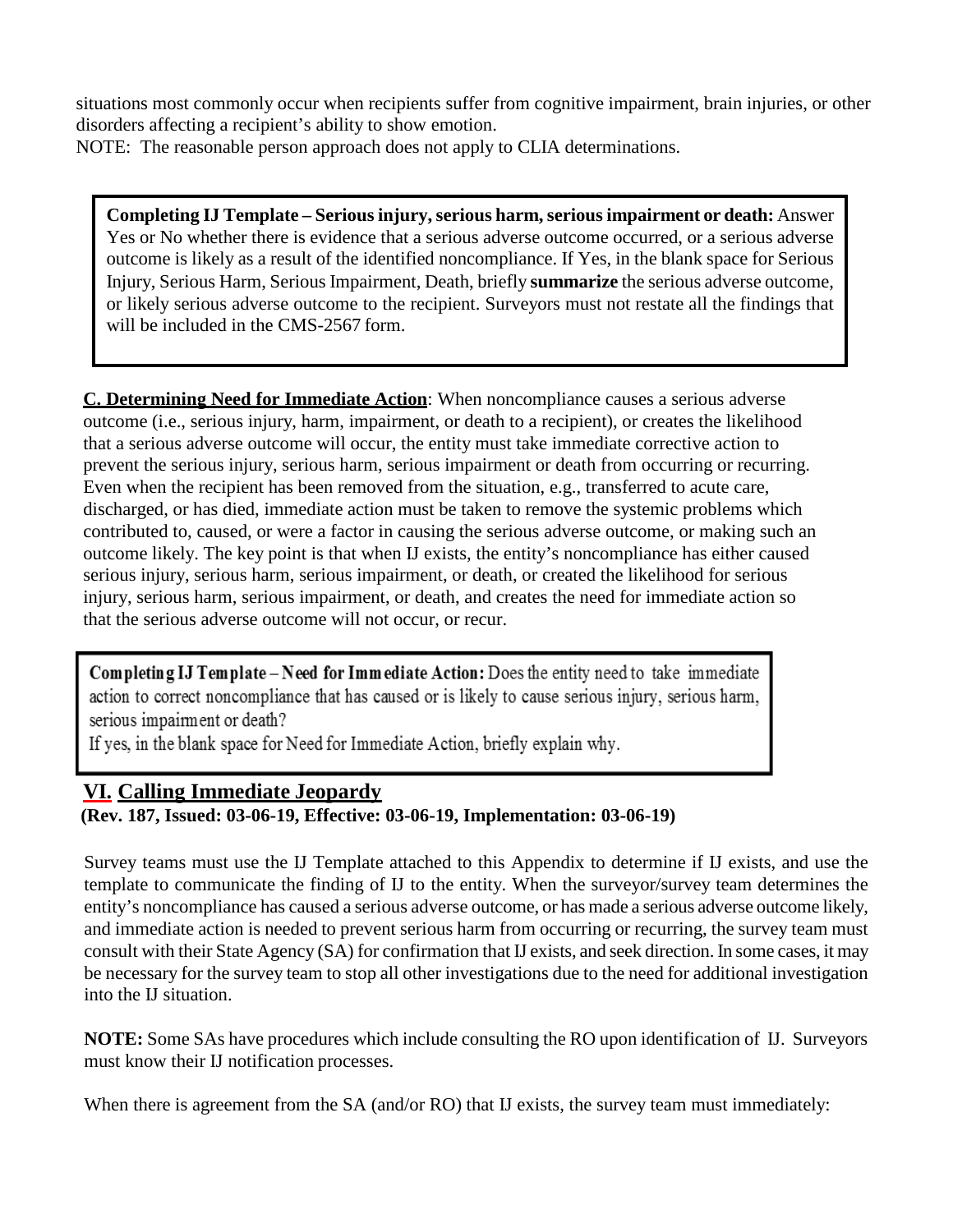situations most commonly occur when recipients suffer from cognitive impairment, brain injuries, or other disorders affecting a recipient's ability to show emotion.

NOTE: The reasonable person approach does not apply to CLIA determinations.

**Completing IJ Template – Serious injury, serious harm, serious impairment or death:** Answer Yes or No whether there is evidence that a serious adverse outcome occurred, or a serious adverse outcome is likely as a result of the identified noncompliance. If Yes, in the blank space for Serious Injury, Serious Harm, Serious Impairment, Death, briefly **summarize** the serious adverse outcome, or likely serious adverse outcome to the recipient. Surveyors must not restate all the findings that will be included in the CMS-2567 form.

**C. Determining Need for Immediate Action**: When noncompliance causes a serious adverse outcome (i.e., serious injury, harm, impairment, or death to a recipient), or creates the likelihood that a serious adverse outcome will occur, the entity must take immediate corrective action to prevent the serious injury, serious harm, serious impairment or death from occurring or recurring. Even when the recipient has been removed from the situation, e.g., transferred to acute care, discharged, or has died, immediate action must be taken to remove the systemic problems which contributed to, caused, or were a factor in causing the serious adverse outcome, or making such an outcome likely. The key point is that when IJ exists, the entity's noncompliance has either caused serious injury, serious harm, serious impairment, or death, or created the likelihood for serious injury, serious harm, serious impairment, or death, and creates the need for immediate action so that the serious adverse outcome will not occur, or recur.

Completing IJ Template - Need for Immediate Action: Does the entity need to take immediate action to correct noncompliance that has caused or is likely to cause serious injury, serious harm, serious impairment or death?

If yes, in the blank space for Need for Immediate Action, briefly explain why.

# <span id="page-10-0"></span>**VI. Calling Immediate Jeopardy**

**(Rev. 187, Issued: 03-06-19, Effective: 03-06-19, Implementation: 03-06-19)**

Survey teams must use the IJ Template attached to this Appendix to determine if IJ exists, and use the template to communicate the finding of IJ to the entity. When the surveyor/survey team determines the entity's noncompliance has caused a serious adverse outcome, or has made a serious adverse outcome likely, and immediate action is needed to prevent serious harm from occurring or recurring, the survey team must consult with their State Agency (SA) for confirmation that IJ exists, and seek direction. In some cases, it may be necessary for the survey team to stop all other investigations due to the need for additional investigation into the IJ situation.

**NOTE:** Some SAs have procedures which include consulting the RO upon identification of IJ. Surveyors must know their IJ notification processes.

When there is agreement from the SA (and/or RO) that IJ exists, the survey team must immediately: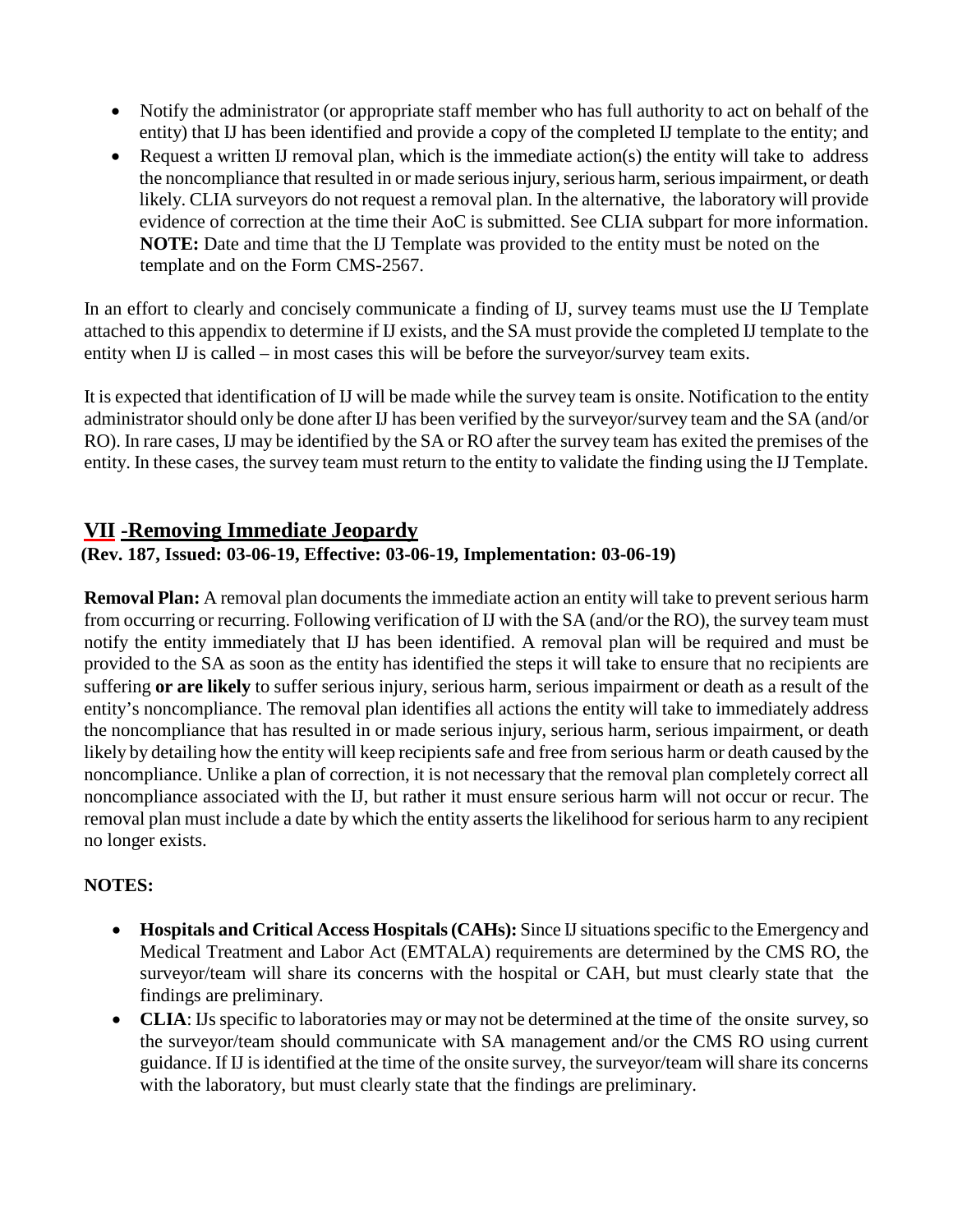- Notify the administrator (or appropriate staff member who has full authority to act on behalf of the entity) that IJ has been identified and provide a copy of the completed IJ template to the entity; and
- Request a written IJ removal plan, which is the immediate action(s) the entity will take to address the noncompliance that resulted in or made serious injury, serious harm, serious impairment, or death likely. CLIA surveyors do not request a removal plan. In the alternative, the laboratory will provide evidence of correction at the time their AoC is submitted. See CLIA subpart for more information. **NOTE:** Date and time that the IJ Template was provided to the entity must be noted on the template and on the Form CMS-2567.

In an effort to clearly and concisely communicate a finding of IJ, survey teams must use the IJ Template attached to this appendix to determine if IJ exists, and the SA must provide the completed IJ template to the entity when IJ is called – in most cases this will be before the surveyor/survey team exits.

It is expected that identification of IJ will be made while the survey team is onsite. Notification to the entity administrator should only be done after IJ has been verified by the surveyor/survey team and the SA (and/or RO). In rare cases, IJ may be identified by the SA or RO after the survey team has exited the premises of the entity. In these cases, the survey team must return to the entity to validate the finding using the IJ Template.

# <span id="page-11-0"></span>**VII -Removing Immediate Jeopardy**

#### **(Rev. 187, Issued: 03-06-19, Effective: 03-06-19, Implementation: 03-06-19)**

**Removal Plan:** A removal plan documents the immediate action an entity will take to prevent serious harm from occurring or recurring. Following verification of IJ with the SA (and/or the RO), the survey team must notify the entity immediately that IJ has been identified. A removal plan will be required and must be provided to the SA as soon as the entity has identified the steps it will take to ensure that no recipients are suffering **or are likely** to suffer serious injury, serious harm, serious impairment or death as a result of the entity's noncompliance. The removal plan identifies all actions the entity will take to immediately address the noncompliance that has resulted in or made serious injury, serious harm, serious impairment, or death likely by detailing how the entity will keep recipients safe and free from serious harm or death caused by the noncompliance. Unlike a plan of correction, it is not necessary that the removal plan completely correct all noncompliance associated with the IJ, but rather it must ensure serious harm will not occur or recur. The removal plan must include a date by which the entity asserts the likelihood for serious harm to any recipient no longer exists.

# **NOTES:**

- **Hospitals and Critical Access Hospitals (CAHs):** Since IJ situations specific to the Emergency and Medical Treatment and Labor Act (EMTALA) requirements are determined by the CMS RO, the surveyor/team will share its concerns with the hospital or CAH, but must clearly state that the findings are preliminary.
- **CLIA**: IJs specific to laboratories may or may not be determined at the time of the onsite survey, so the surveyor/team should communicate with SA management and/or the CMS RO using current guidance. If IJ is identified at the time of the onsite survey, the surveyor/team will share its concerns with the laboratory, but must clearly state that the findings are preliminary.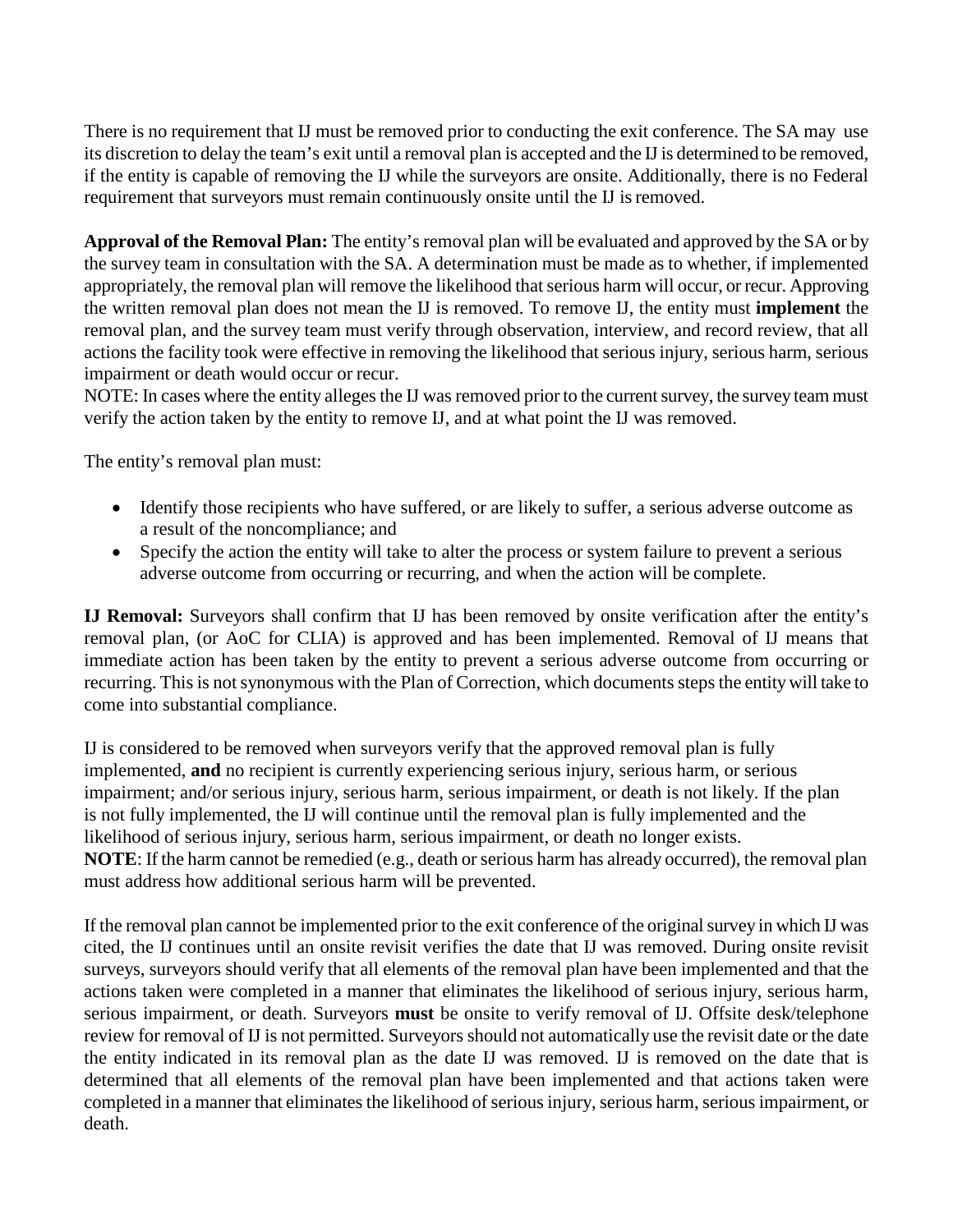There is no requirement that IJ must be removed prior to conducting the exit conference. The SA may use its discretion to delay the team's exit until a removal plan is accepted and the IJ is determined to be removed, if the entity is capable of removing the IJ while the surveyors are onsite. Additionally, there is no Federal requirement that surveyors must remain continuously onsite until the IJ isremoved.

**Approval of the Removal Plan:** The entity's removal plan will be evaluated and approved by the SA or by the survey team in consultation with the SA. A determination must be made as to whether, if implemented appropriately, the removal plan will remove the likelihood that serious harm will occur, or recur. Approving the written removal plan does not mean the IJ is removed. To remove IJ, the entity must **implement** the removal plan, and the survey team must verify through observation, interview, and record review, that all actions the facility took were effective in removing the likelihood that serious injury, serious harm, serious impairment or death would occur or recur.

NOTE: In cases where the entity alleges the IJ was removed prior to the current survey, the survey team must verify the action taken by the entity to remove IJ, and at what point the IJ was removed.

The entity's removal plan must:

- Identify those recipients who have suffered, or are likely to suffer, a serious adverse outcome as a result of the noncompliance; and
- Specify the action the entity will take to alter the process or system failure to prevent a serious adverse outcome from occurring or recurring, and when the action will be complete.

**IJ Removal:** Surveyors shall confirm that IJ has been removed by onsite verification after the entity's removal plan, (or AoC for CLIA) is approved and has been implemented. Removal of IJ means that immediate action has been taken by the entity to prevent a serious adverse outcome from occurring or recurring. This is not synonymous with the Plan of Correction, which documents steps the entity will take to come into substantial compliance.

IJ is considered to be removed when surveyors verify that the approved removal plan is fully implemented, **and** no recipient is currently experiencing serious injury, serious harm, or serious impairment; and/or serious injury, serious harm, serious impairment, or death is not likely. If the plan is not fully implemented, the IJ will continue until the removal plan is fully implemented and the likelihood of serious injury, serious harm, serious impairment, or death no longer exists. **NOTE**: If the harm cannot be remedied (e.g., death or serious harm has already occurred), the removal plan must address how additional serious harm will be prevented.

If the removal plan cannot be implemented prior to the exit conference of the original survey in which IJ was cited, the IJ continues until an onsite revisit verifies the date that IJ was removed. During onsite revisit surveys, surveyors should verify that all elements of the removal plan have been implemented and that the actions taken were completed in a manner that eliminates the likelihood of serious injury, serious harm, serious impairment, or death. Surveyors **must** be onsite to verify removal of IJ. Offsite desk/telephone review for removal of IJ is not permitted. Surveyors should not automatically use the revisit date or the date the entity indicated in its removal plan as the date IJ was removed. IJ is removed on the date that is determined that all elements of the removal plan have been implemented and that actions taken were completed in a manner that eliminates the likelihood of serious injury, serious harm, serious impairment, or death.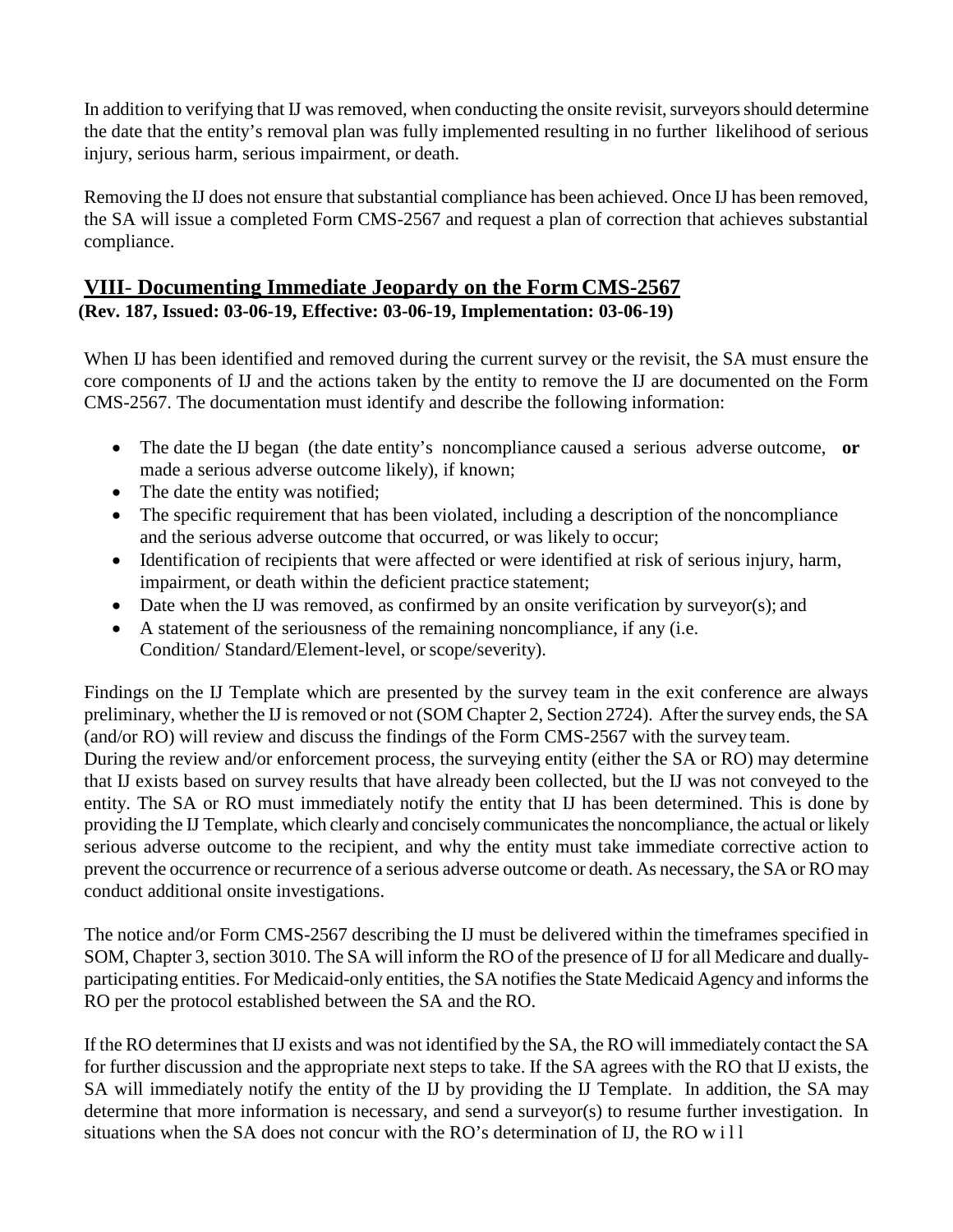In addition to verifying that IJ was removed, when conducting the onsite revisit, surveyors should determine the date that the entity's removal plan was fully implemented resulting in no further likelihood of serious injury, serious harm, serious impairment, or death.

Removing the IJ does not ensure that substantial compliance has been achieved. Once IJ has been removed, the SA will issue a completed Form CMS-2567 and request a plan of correction that achieves substantial compliance.

# <span id="page-13-0"></span>**VIII**- **Documenting Immediate Jeopardy on the Form CMS-2567 (Rev. 187, Issued: 03-06-19, Effective: 03-06-19, Implementation: 03-06-19)**

When IJ has been identified and removed during the current survey or the revisit, the SA must ensure the core components of IJ and the actions taken by the entity to remove the IJ are documented on the Form CMS-2567. The documentation must identify and describe the following information:

- The date the IJ began (the date entity's noncompliance caused a serious adverse outcome, **or** made a serious adverse outcome likely), if known;
- The date the entity was notified;
- The specific requirement that has been violated, including a description of the noncompliance and the serious adverse outcome that occurred, or was likely to occur;
- Identification of recipients that were affected or were identified at risk of serious injury, harm, impairment, or death within the deficient practice statement;
- Date when the IJ was removed, as confirmed by an onsite verification by surveyor(s); and
- A statement of the seriousness of the remaining noncompliance, if any (i.e. Condition/ Standard/Element-level, or scope/severity).

Findings on the IJ Template which are presented by the survey team in the exit conference are always preliminary, whether the IJ is removed or not (SOM Chapter 2, Section 2724). After the survey ends, the SA (and/or RO) will review and discuss the findings of the Form CMS-2567 with the survey team.

During the review and/or enforcement process, the surveying entity (either the SA or RO) may determine that IJ exists based on survey results that have already been collected, but the IJ was not conveyed to the entity. The SA or RO must immediately notify the entity that IJ has been determined. This is done by providing the IJ Template, which clearly and concisely communicates the noncompliance, the actual or likely serious adverse outcome to the recipient, and why the entity must take immediate corrective action to prevent the occurrence or recurrence of a serious adverse outcome or death. As necessary, the SA or RO may conduct additional onsite investigations.

The notice and/or Form CMS-2567 describing the IJ must be delivered within the timeframes specified in SOM, Chapter 3, section 3010. The SA will inform the RO of the presence of IJ for all Medicare and duallyparticipating entities. For Medicaid-only entities, the SA notifies the State Medicaid Agency and informs the RO per the protocol established between the SA and the RO.

If the RO determines that IJ exists and was not identified by the SA, the RO will immediately contact the SA for further discussion and the appropriate next steps to take. If the SA agrees with the RO that IJ exists, the SA will immediately notify the entity of the IJ by providing the IJ Template. In addition, the SA may determine that more information is necessary, and send a surveyor(s) to resume further investigation. In situations when the SA does not concur with the RO's determination of IJ, the RO will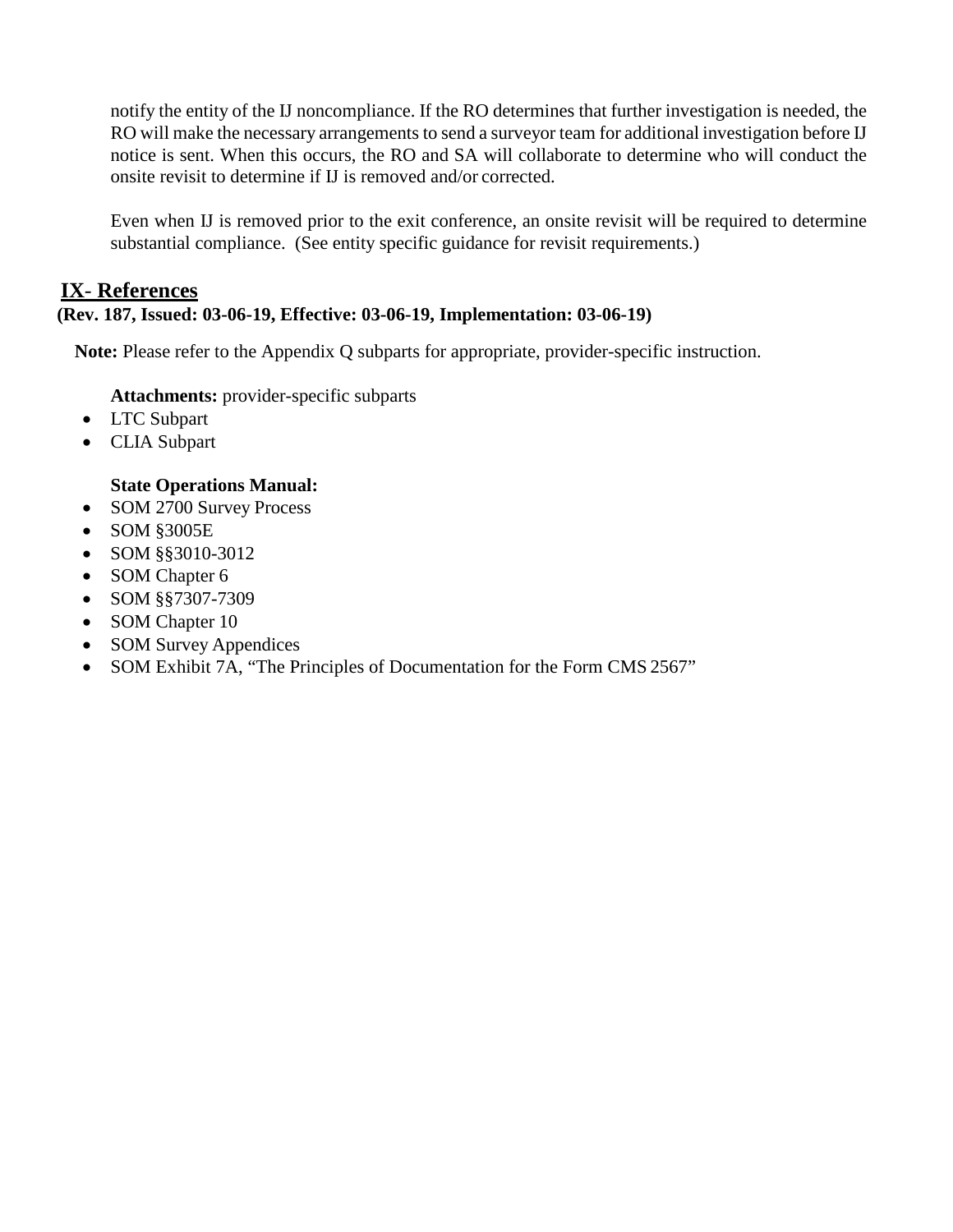notify the entity of the IJ noncompliance. If the RO determines that further investigation is needed, the RO will make the necessary arrangements to send a surveyor team for additional investigation before IJ notice is sent. When this occurs, the RO and SA will collaborate to determine who will conduct the onsite revisit to determine if IJ is removed and/or corrected.

Even when IJ is removed prior to the exit conference, an onsite revisit will be required to determine substantial compliance. (See entity specific guidance for revisit requirements.)

# <span id="page-14-0"></span>**IX**- **References**

# **(Rev. 187, Issued: 03-06-19, Effective: 03-06-19, Implementation: 03-06-19)**

**Note:** Please refer to the Appendix Q subparts for appropriate, provider-specific instruction.

**Attachments:** provider-specific subparts

- LTC Subpart
- CLIA Subpart

#### **State Operations Manual:**

- SOM 2700 Survey Process
- SOM §3005E
- SOM §§3010-3012
- SOM Chapter 6
- SOM §§7307-7309
- SOM Chapter 10
- SOM Survey Appendices
- SOM Exhibit 7A, "The Principles of Documentation for the Form CMS 2567"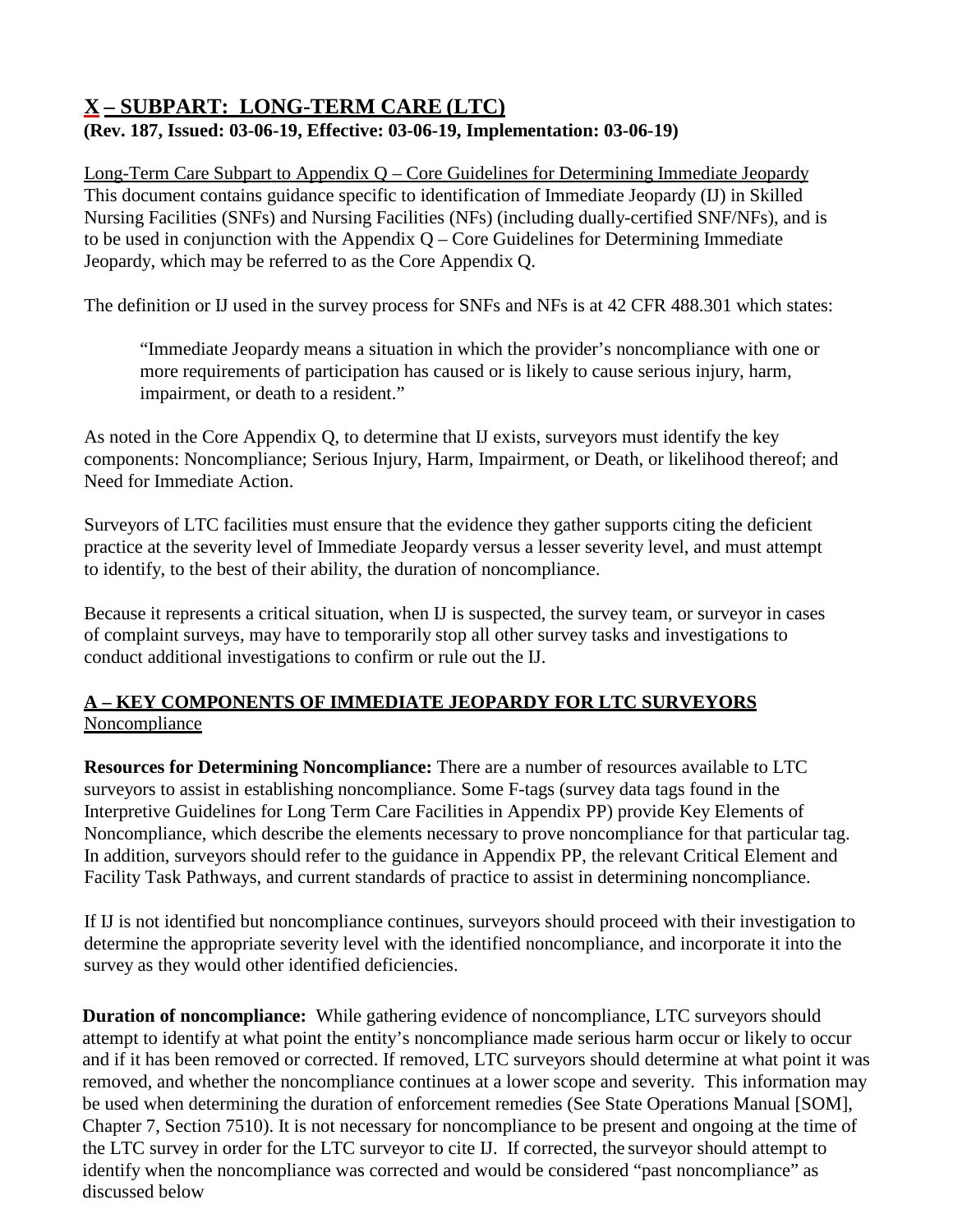# <span id="page-15-0"></span>**X – SUBPART: LONG-TERM CARE (LTC) (Rev. 187, Issued: 03-06-19, Effective: 03-06-19, Implementation: 03-06-19)**

Long-Term Care Subpart to Appendix Q – Core Guidelines for Determining Immediate Jeopardy This document contains guidance specific to identification of Immediate Jeopardy (IJ) in Skilled Nursing Facilities (SNFs) and Nursing Facilities (NFs) (including dually-certified SNF/NFs), and is to be used in conjunction with the Appendix  $Q$  – Core Guidelines for Determining Immediate Jeopardy, which may be referred to as the Core Appendix Q.

The definition or IJ used in the survey process for SNFs and NFs is at 42 CFR 488.301 which states:

"Immediate Jeopardy means a situation in which the provider's noncompliance with one or more requirements of participation has caused or is likely to cause serious injury, harm, impairment, or death to a resident."

As noted in the Core Appendix Q, to determine that IJ exists, surveyors must identify the key components: Noncompliance; Serious Injury, Harm, Impairment, or Death, or likelihood thereof; and Need for Immediate Action.

Surveyors of LTC facilities must ensure that the evidence they gather supports citing the deficient practice at the severity level of Immediate Jeopardy versus a lesser severity level, and must attempt to identify, to the best of their ability, the duration of noncompliance.

Because it represents a critical situation, when IJ is suspected, the survey team, or surveyor in cases of complaint surveys, may have to temporarily stop all other survey tasks and investigations to conduct additional investigations to confirm or rule out the IJ.

# **A – KEY COMPONENTS OF IMMEDIATE JEOPARDY FOR LTC SURVEYORS Noncompliance**

**Resources for Determining Noncompliance:** There are a number of resources available to LTC surveyors to assist in establishing noncompliance. Some F-tags (survey data tags found in the Interpretive Guidelines for Long Term Care Facilities in Appendix PP) provide Key Elements of Noncompliance, which describe the elements necessary to prove noncompliance for that particular tag. In addition, surveyors should refer to the guidance in Appendix PP, the relevant Critical Element and Facility Task Pathways, and current standards of practice to assist in determining noncompliance.

If IJ is not identified but noncompliance continues, surveyors should proceed with their investigation to determine the appropriate severity level with the identified noncompliance, and incorporate it into the survey as they would other identified deficiencies.

**Duration of noncompliance:** While gathering evidence of noncompliance, LTC surveyors should attempt to identify at what point the entity's noncompliance made serious harm occur or likely to occur and if it has been removed or corrected. If removed, LTC surveyors should determine at what point it was removed, and whether the noncompliance continues at a lower scope and severity. This information may be used when determining the duration of enforcement remedies (See State Operations Manual [SOM], Chapter 7, Section 7510). It is not necessary for noncompliance to be present and ongoing at the time of the LTC survey in order for the LTC surveyor to cite IJ. If corrected, the surveyor should attempt to identify when the noncompliance was corrected and would be considered "past noncompliance" as discussed below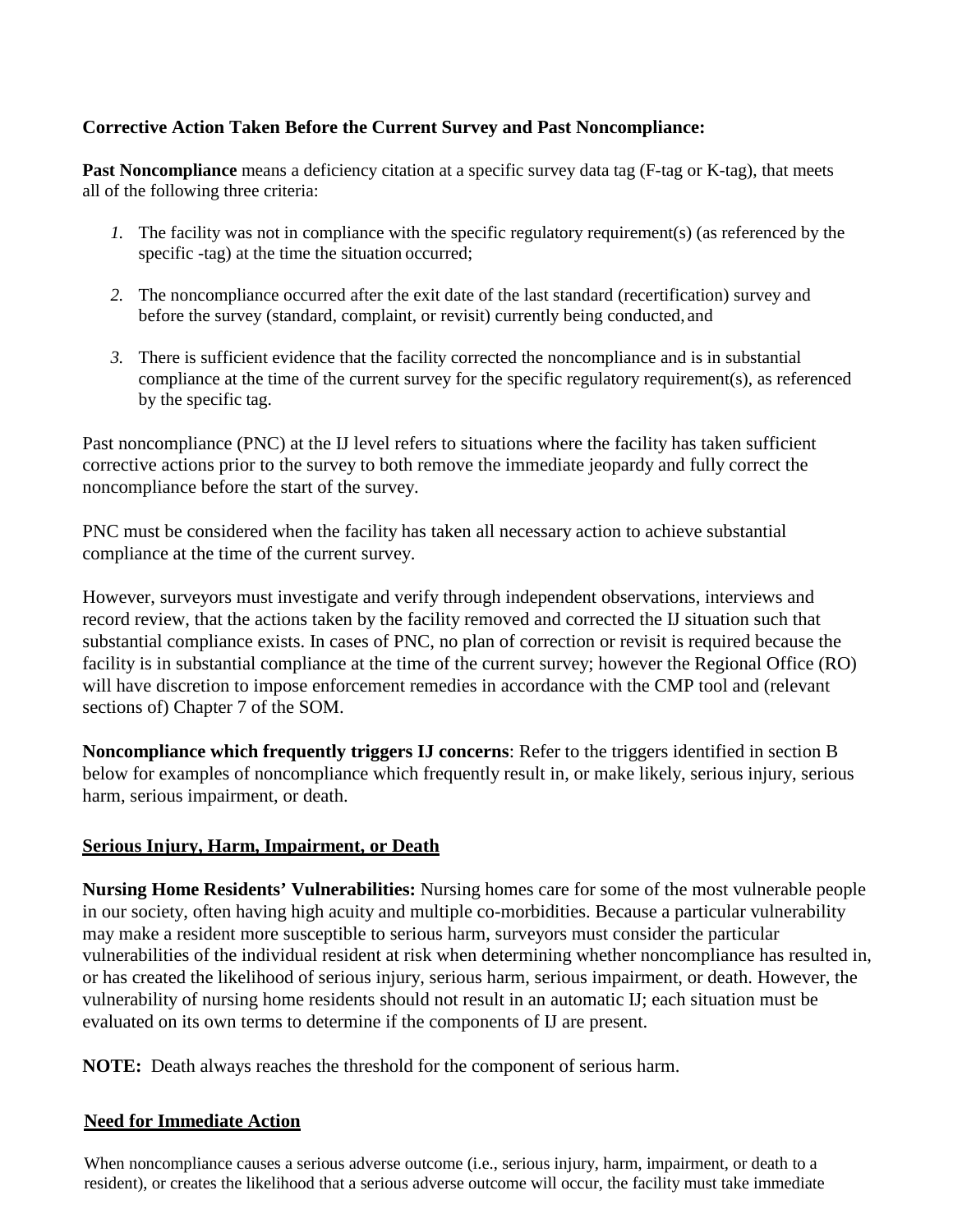## **Corrective Action Taken Before the Current Survey and Past Noncompliance:**

Past Noncompliance means a deficiency citation at a specific survey data tag (F-tag or K-tag), that meets all of the following three criteria:

- *1.* The facility was not in compliance with the specific regulatory requirement(s) (as referenced by the specific -tag) at the time the situation occurred;
- *2.* The noncompliance occurred after the exit date of the last standard (recertification) survey and before the survey (standard, complaint, or revisit) currently being conducted, and
- *3.* There is sufficient evidence that the facility corrected the noncompliance and is in substantial compliance at the time of the current survey for the specific regulatory requirement(s), as referenced by the specific tag.

Past noncompliance (PNC) at the IJ level refers to situations where the facility has taken sufficient corrective actions prior to the survey to both remove the immediate jeopardy and fully correct the noncompliance before the start of the survey.

PNC must be considered when the facility has taken all necessary action to achieve substantial compliance at the time of the current survey.

However, surveyors must investigate and verify through independent observations, interviews and record review, that the actions taken by the facility removed and corrected the IJ situation such that substantial compliance exists. In cases of PNC, no plan of correction or revisit is required because the facility is in substantial compliance at the time of the current survey; however the Regional Office (RO) will have discretion to impose enforcement remedies in accordance with the CMP tool and (relevant sections of) Chapter 7 of the SOM.

**Noncompliance which frequently triggers IJ concerns**: Refer to the triggers identified in section B below for examples of noncompliance which frequently result in, or make likely, serious injury, serious harm, serious impairment, or death.

#### **Serious Injury, Harm, Impairment, or Death**

**Nursing Home Residents' Vulnerabilities:** Nursing homes care for some of the most vulnerable people in our society, often having high acuity and multiple co-morbidities. Because a particular vulnerability may make a resident more susceptible to serious harm, surveyors must consider the particular vulnerabilities of the individual resident at risk when determining whether noncompliance has resulted in, or has created the likelihood of serious injury, serious harm, serious impairment, or death. However, the vulnerability of nursing home residents should not result in an automatic IJ; each situation must be evaluated on its own terms to determine if the components of IJ are present.

**NOTE:** Death always reaches the threshold for the component of serious harm.

#### **Need for Immediate Action**

When noncompliance causes a serious adverse outcome (i.e., serious injury, harm, impairment, or death to a resident), or creates the likelihood that a serious adverse outcome will occur, the facility must take immediate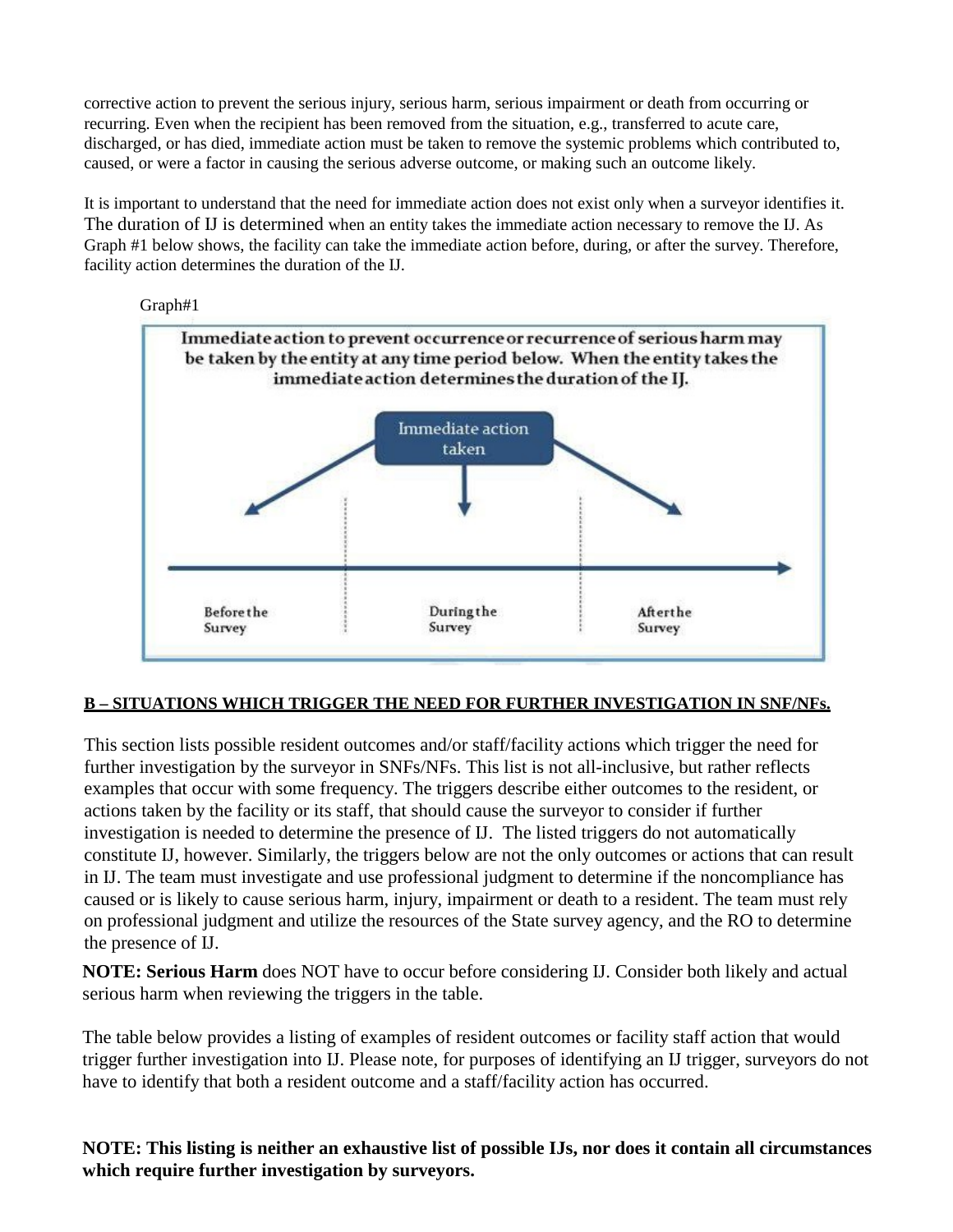corrective action to prevent the serious injury, serious harm, serious impairment or death from occurring or recurring. Even when the recipient has been removed from the situation, e.g., transferred to acute care, discharged, or has died, immediate action must be taken to remove the systemic problems which contributed to, caused, or were a factor in causing the serious adverse outcome, or making such an outcome likely.

It is important to understand that the need for immediate action does not exist only when a surveyor identifies it. The duration of IJ is determined when an entity takes the immediate action necessary to remove the IJ. As Graph #1 below shows, the facility can take the immediate action before, during, or after the survey. Therefore, facility action determines the duration of the IJ.



#### **B – SITUATIONS WHICH TRIGGER THE NEED FOR FURTHER INVESTIGATION IN SNF/NFs.**

This section lists possible resident outcomes and/or staff/facility actions which trigger the need for further investigation by the surveyor in SNFs/NFs. This list is not all-inclusive, but rather reflects examples that occur with some frequency. The triggers describe either outcomes to the resident, or actions taken by the facility or its staff, that should cause the surveyor to consider if further investigation is needed to determine the presence of IJ. The listed triggers do not automatically constitute IJ, however. Similarly, the triggers below are not the only outcomes or actions that can result in IJ. The team must investigate and use professional judgment to determine if the noncompliance has caused or is likely to cause serious harm, injury, impairment or death to a resident. The team must rely on professional judgment and utilize the resources of the State survey agency, and the RO to determine the presence of IJ.

**NOTE: Serious Harm** does NOT have to occur before considering IJ. Consider both likely and actual serious harm when reviewing the triggers in the table.

The table below provides a listing of examples of resident outcomes or facility staff action that would trigger further investigation into IJ. Please note, for purposes of identifying an IJ trigger, surveyors do not have to identify that both a resident outcome and a staff/facility action has occurred.

**NOTE: This listing is neither an exhaustive list of possible IJs, nor does it contain all circumstances which require further investigation by surveyors.**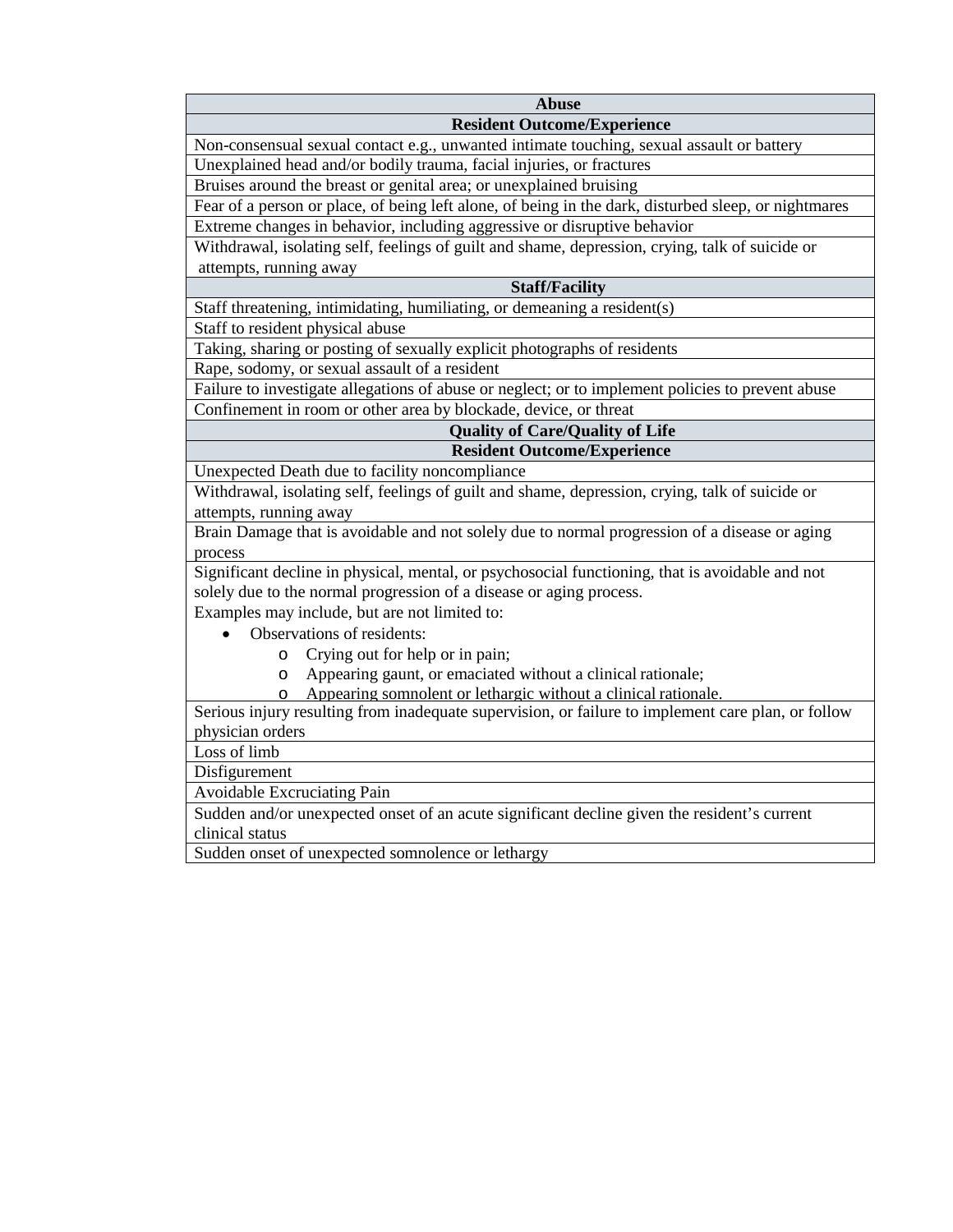| <b>Abuse</b>                                                                                          |  |  |  |  |  |
|-------------------------------------------------------------------------------------------------------|--|--|--|--|--|
| <b>Resident Outcome/Experience</b>                                                                    |  |  |  |  |  |
| Non-consensual sexual contact e.g., unwanted intimate touching, sexual assault or battery             |  |  |  |  |  |
| Unexplained head and/or bodily trauma, facial injuries, or fractures                                  |  |  |  |  |  |
| Bruises around the breast or genital area; or unexplained bruising                                    |  |  |  |  |  |
| Fear of a person or place, of being left alone, of being in the dark, disturbed sleep, or nightmares  |  |  |  |  |  |
| Extreme changes in behavior, including aggressive or disruptive behavior                              |  |  |  |  |  |
| Withdrawal, isolating self, feelings of guilt and shame, depression, crying, talk of suicide or       |  |  |  |  |  |
| attempts, running away                                                                                |  |  |  |  |  |
| <b>Staff/Facility</b>                                                                                 |  |  |  |  |  |
| Staff threatening, intimidating, humiliating, or demeaning a resident(s)                              |  |  |  |  |  |
| Staff to resident physical abuse                                                                      |  |  |  |  |  |
| Taking, sharing or posting of sexually explicit photographs of residents                              |  |  |  |  |  |
| Rape, sodomy, or sexual assault of a resident                                                         |  |  |  |  |  |
| Failure to investigate allegations of abuse or neglect; or to implement policies to prevent abuse     |  |  |  |  |  |
| Confinement in room or other area by blockade, device, or threat                                      |  |  |  |  |  |
| <b>Quality of Care/Quality of Life</b>                                                                |  |  |  |  |  |
| <b>Resident Outcome/Experience</b>                                                                    |  |  |  |  |  |
| Unexpected Death due to facility noncompliance                                                        |  |  |  |  |  |
| Withdrawal, isolating self, feelings of guilt and shame, depression, crying, talk of suicide or       |  |  |  |  |  |
| attempts, running away                                                                                |  |  |  |  |  |
| Brain Damage that is avoidable and not solely due to normal progression of a disease or aging         |  |  |  |  |  |
| process                                                                                               |  |  |  |  |  |
| Significant decline in physical, mental, or psychosocial functioning, that is avoidable and not       |  |  |  |  |  |
| solely due to the normal progression of a disease or aging process.                                   |  |  |  |  |  |
| Examples may include, but are not limited to:                                                         |  |  |  |  |  |
| Observations of residents:                                                                            |  |  |  |  |  |
| Crying out for help or in pain;<br>$\circ$                                                            |  |  |  |  |  |
| Appearing gaunt, or emaciated without a clinical rationale;<br>$\circ$                                |  |  |  |  |  |
| Appearing somnolent or lethargic without a clinical rationale.<br>$\Omega$                            |  |  |  |  |  |
| Serious injury resulting from inadequate supervision, or failure to implement care plan, or follow    |  |  |  |  |  |
| physician orders                                                                                      |  |  |  |  |  |
| Loss of limb                                                                                          |  |  |  |  |  |
| Disfigurement                                                                                         |  |  |  |  |  |
| Avoidable Excruciating Pain                                                                           |  |  |  |  |  |
| Sudden and/or unexpected onset of an acute significant decline given the resident's current           |  |  |  |  |  |
| clinical status<br>$\mathbf{r}$<br>$\mathbf{A}$ $\mathbf{A}$<br>$\blacksquare$<br>$1 - 1$<br>$C = 11$ |  |  |  |  |  |

Sudden onset of unexpected somnolence or lethargy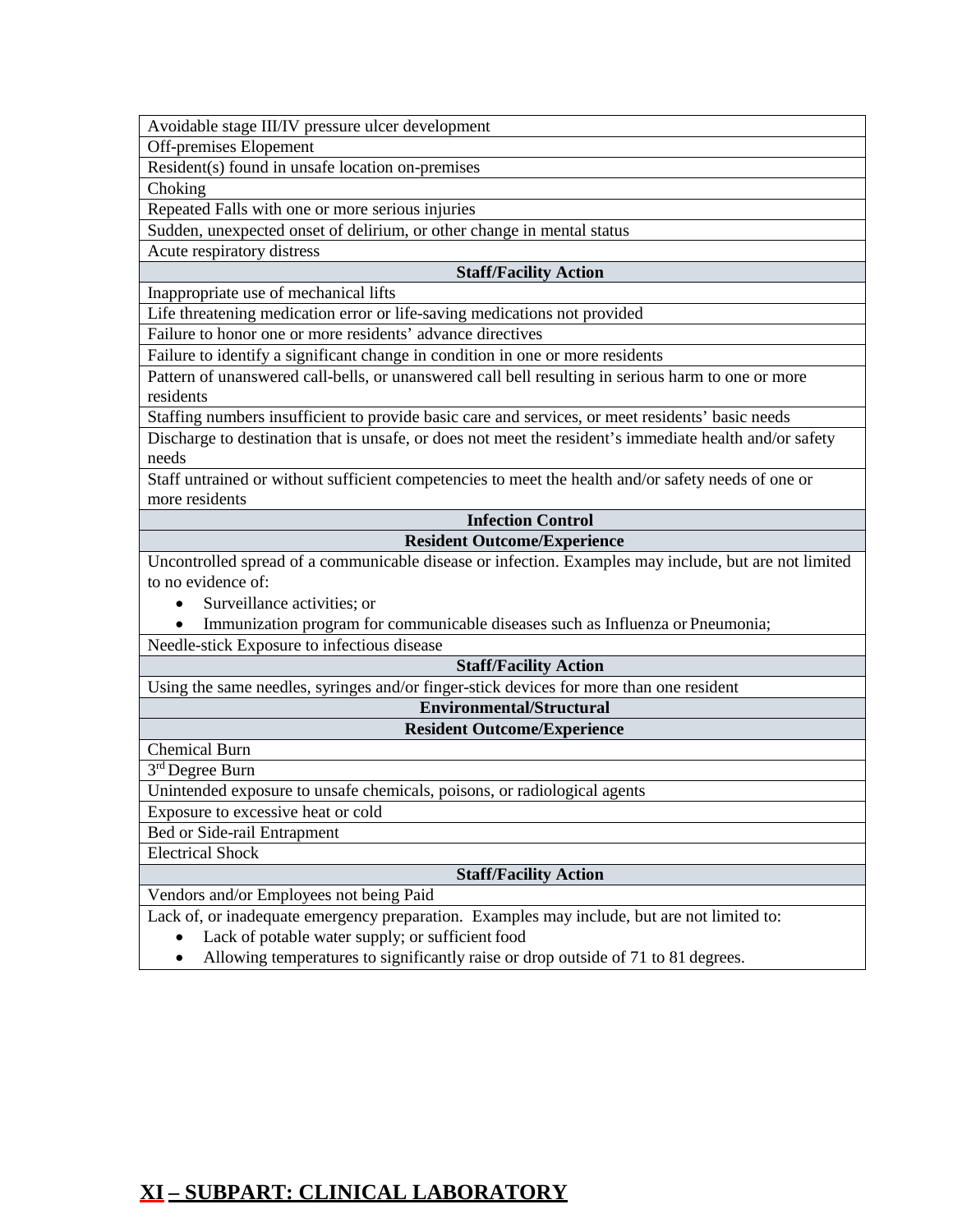Avoidable stage III/IV pressure ulcer development

Off-premises Elopement

Resident(s) found in unsafe location on-premises

Choking

Repeated Falls with one or more serious injuries

Sudden, unexpected onset of delirium, or other change in mental status

Acute respiratory distress

#### **Staff/Facility Action**

Inappropriate use of mechanical lifts

Life threatening medication error or life-saving medications not provided

Failure to honor one or more residents' advance directives

Failure to identify a significant change in condition in one or more residents

Pattern of unanswered call-bells, or unanswered call bell resulting in serious harm to one or more residents

Staffing numbers insufficient to provide basic care and services, or meet residents' basic needs

Discharge to destination that is unsafe, or does not meet the resident's immediate health and/or safety needs

Staff untrained or without sufficient competencies to meet the health and/or safety needs of one or more residents

#### **Infection Control Resident Outcome/Experience**

Uncontrolled spread of a communicable disease or infection. Examples may include, but are not limited to no evidence of:

- Surveillance activities; or
- Immunization program for communicable diseases such as Influenza or Pneumonia;

Needle-stick Exposure to infectious disease

#### **Staff/Facility Action**

Using the same needles, syringes and/or finger-stick devices for more than one resident

#### **Environmental/Structural Resident Outcome/Experience**

Chemical Burn

3<sup>rd</sup> Degree Burn

Unintended exposure to unsafe chemicals, poisons, or radiological agents

Exposure to excessive heat or cold

Bed or Side-rail Entrapment

Electrical Shock

#### **Staff/Facility Action**

Vendors and/or Employees not being Paid

Lack of, or inadequate emergency preparation. Examples may include, but are not limited to:

- Lack of potable water supply; or sufficient food
- Allowing temperatures to significantly raise or drop outside of 71 to 81 degrees.

# <span id="page-19-0"></span>**XI – SUBPART: CLINICAL LABORATORY**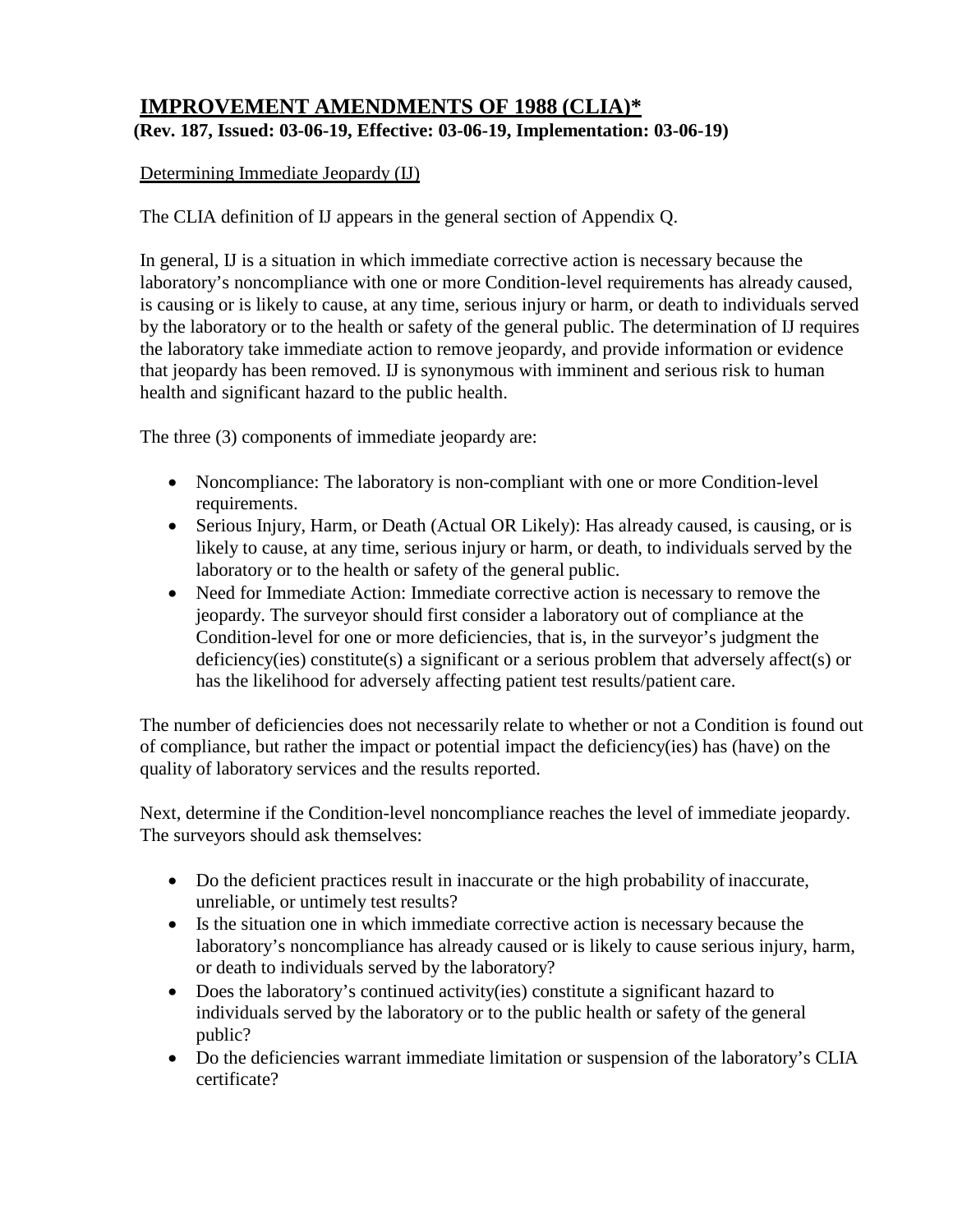# **IMPROVEMENT AMENDMENTS OF 1988 (CLIA)\* (Rev. 187, Issued: 03-06-19, Effective: 03-06-19, Implementation: 03-06-19)**

## Determining Immediate Jeopardy (IJ)

The CLIA definition of IJ appears in the general section of Appendix Q.

In general, IJ is a situation in which immediate corrective action is necessary because the laboratory's noncompliance with one or more Condition-level requirements has already caused, is causing or is likely to cause, at any time, serious injury or harm, or death to individuals served by the laboratory or to the health or safety of the general public. The determination of IJ requires the laboratory take immediate action to remove jeopardy, and provide information or evidence that jeopardy has been removed. IJ is synonymous with imminent and serious risk to human health and significant hazard to the public health.

The three (3) components of immediate jeopardy are:

- Noncompliance: The laboratory is non-compliant with one or more Condition-level requirements.
- Serious Injury, Harm, or Death (Actual OR Likely): Has already caused, is causing, or is likely to cause, at any time, serious injury or harm, or death, to individuals served by the laboratory or to the health or safety of the general public.
- Need for Immediate Action: Immediate corrective action is necessary to remove the jeopardy. The surveyor should first consider a laboratory out of compliance at the Condition-level for one or more deficiencies, that is, in the surveyor's judgment the deficiency(ies) constitute(s) a significant or a serious problem that adversely affect(s) or has the likelihood for adversely affecting patient test results/patient care.

The number of deficiencies does not necessarily relate to whether or not a Condition is found out of compliance, but rather the impact or potential impact the deficiency(ies) has (have) on the quality of laboratory services and the results reported.

Next, determine if the Condition-level noncompliance reaches the level of immediate jeopardy. The surveyors should ask themselves:

- Do the deficient practices result in inaccurate or the high probability of inaccurate, unreliable, or untimely test results?
- Is the situation one in which immediate corrective action is necessary because the laboratory's noncompliance has already caused or is likely to cause serious injury, harm, or death to individuals served by the laboratory?
- Does the laboratory's continued activity(ies) constitute a significant hazard to individuals served by the laboratory or to the public health or safety of the general public?
- Do the deficiencies warrant immediate limitation or suspension of the laboratory's CLIA certificate?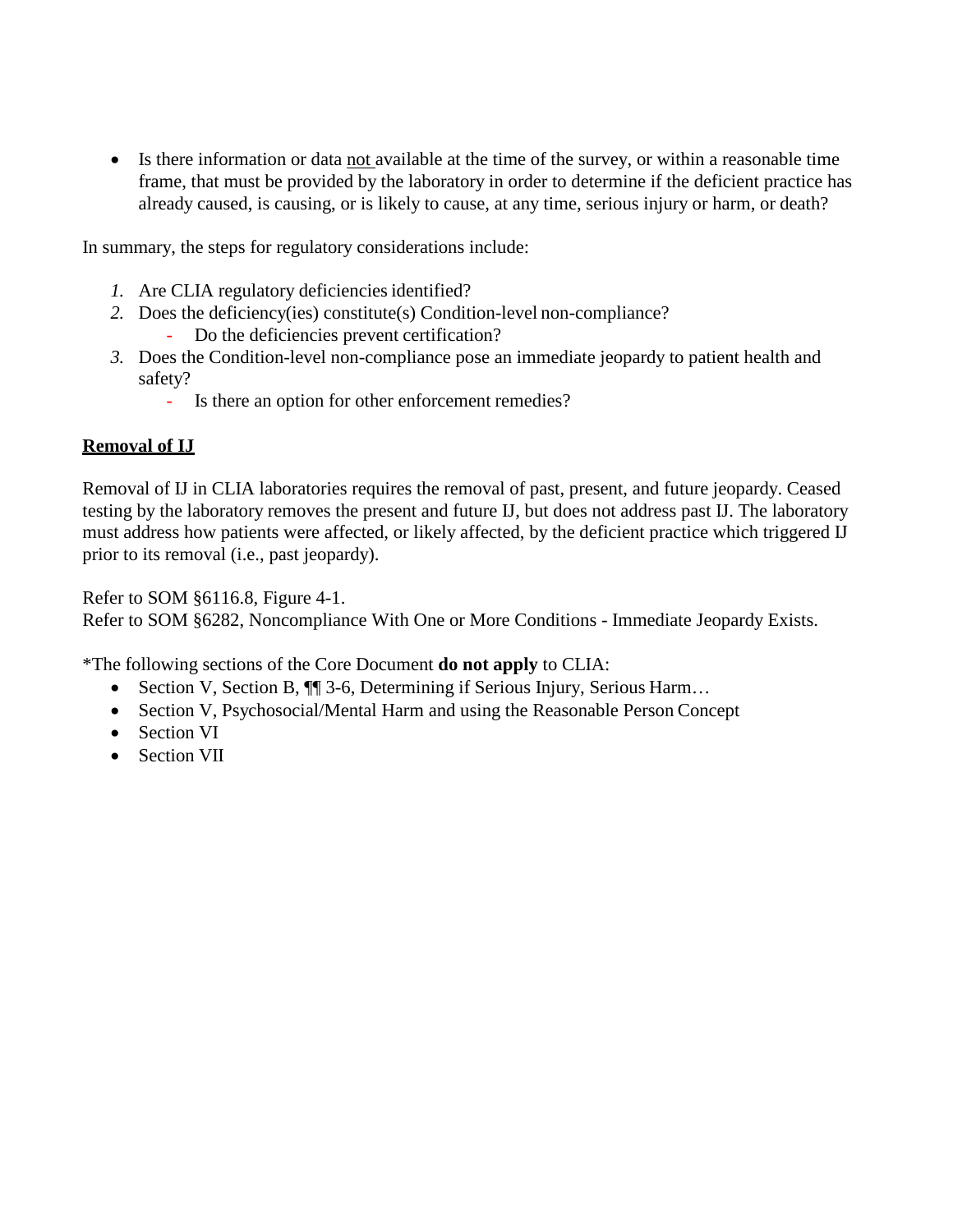• Is there information or data not available at the time of the survey, or within a reasonable time frame, that must be provided by the laboratory in order to determine if the deficient practice has already caused, is causing, or is likely to cause, at any time, serious injury or harm, or death?

In summary, the steps for regulatory considerations include:

- *1.* Are CLIA regulatory deficiencies identified?
- *2.* Does the deficiency(ies) constitute(s) Condition-level non-compliance?
	- Do the deficiencies prevent certification?
- *3.* Does the Condition-level non-compliance pose an immediate jeopardy to patient health and safety?
	- Is there an option for other enforcement remedies?

# **Removal of IJ**

Removal of IJ in CLIA laboratories requires the removal of past, present, and future jeopardy. Ceased testing by the laboratory removes the present and future IJ, but does not address past IJ. The laboratory must address how patients were affected, or likely affected, by the deficient practice which triggered IJ prior to its removal (i.e., past jeopardy).

Refer to SOM §6116.8, Figure 4-1.

Refer to SOM §6282, Noncompliance With One or More Conditions - Immediate Jeopardy Exists.

\*The following sections of the Core Document **do not apply** to CLIA:

- Section V, Section B,  $\P$  3-6, Determining if Serious Injury, Serious Harm...
- Section V, Psychosocial/Mental Harm and using the Reasonable Person Concept
- Section VI
- Section VII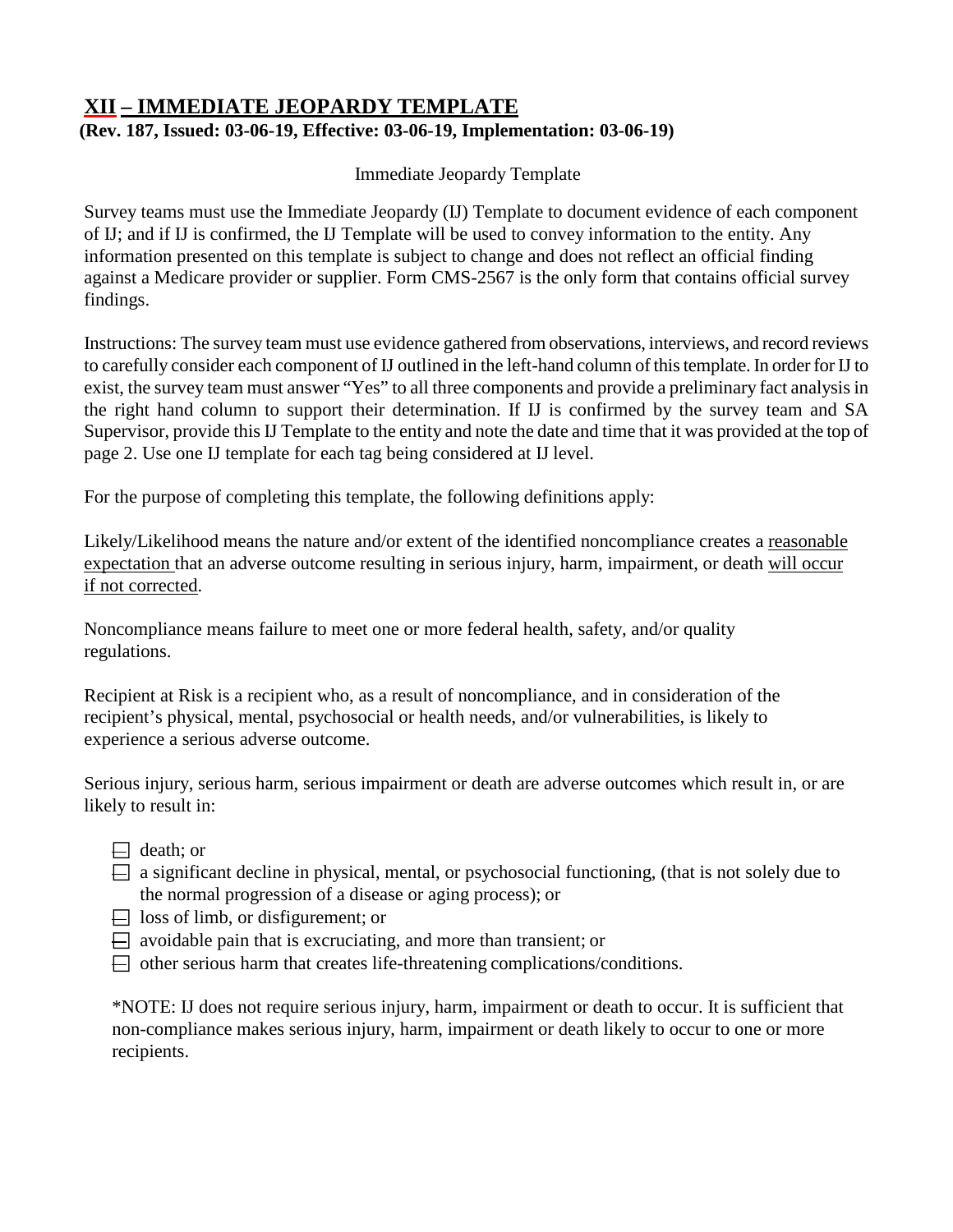# <span id="page-22-0"></span>**XII – IMMEDIATE JEOPARDY TEMPLATE (Rev. 187, Issued: 03-06-19, Effective: 03-06-19, Implementation: 03-06-19)**

Immediate Jeopardy Template

Survey teams must use the Immediate Jeopardy (IJ) Template to document evidence of each component of IJ; and if IJ is confirmed, the IJ Template will be used to convey information to the entity. Any information presented on this template is subject to change and does not reflect an official finding against a Medicare provider or supplier. Form CMS-2567 is the only form that contains official survey findings.

Instructions: The survey team must use evidence gathered from observations, interviews, and record reviews to carefully consider each component of IJ outlined in the left-hand column of thistemplate. In order for IJ to exist, the survey team must answer "Yes" to all three components and provide a preliminary fact analysis in the right hand column to support their determination. If IJ is confirmed by the survey team and SA Supervisor, provide this IJ Template to the entity and note the date and time that it was provided at the top of page 2. Use one IJ template for each tag being considered at IJ level.

For the purpose of completing this template, the following definitions apply:

Likely/Likelihood means the nature and/or extent of the identified noncompliance creates a reasonable expectation that an adverse outcome resulting in serious injury, harm, impairment, or death will occur if not corrected.

Noncompliance means failure to meet one or more federal health, safety, and/or quality regulations.

Recipient at Risk is a recipient who, as a result of noncompliance, and in consideration of the recipient's physical, mental, psychosocial or health needs, and/or vulnerabilities, is likely to experience a serious adverse outcome.

Serious injury, serious harm, serious impairment or death are adverse outcomes which result in, or are likely to result in:

- $\Box$  death; or
- $\Box$  a significant decline in physical, mental, or psychosocial functioning, (that is not solely due to the normal progression of a disease or aging process); or
- $\Box$  loss of limb, or disfigurement; or
- $\Box$  avoidable pain that is excruciating, and more than transient; or
- $\Box$  other serious harm that creates life-threatening complications/conditions.

\*NOTE: IJ does not require serious injury, harm, impairment or death to occur. It is sufficient that non-compliance makes serious injury, harm, impairment or death likely to occur to one or more recipients.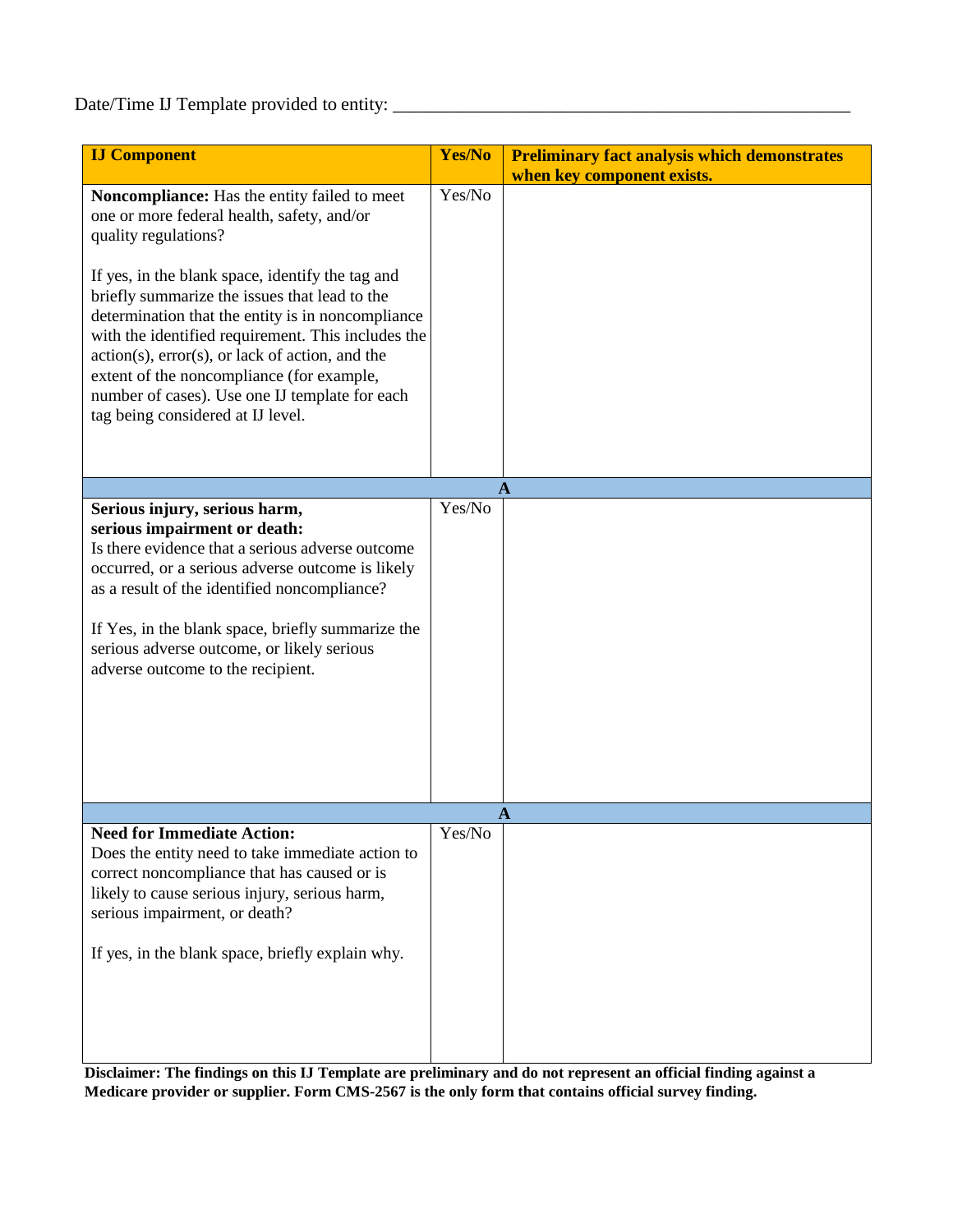# Date/Time IJ Template provided to entity: \_\_\_\_\_\_\_\_\_\_\_\_\_\_\_\_\_\_\_\_\_\_\_\_\_\_\_\_\_\_\_\_\_\_\_\_\_\_\_\_\_\_\_\_\_\_\_\_\_

| <b>IJ Component</b>                                                                                                                                                                                                                                                                                                                                                                                                                                                                                                             | Yes/No | <b>Preliminary fact analysis which demonstrates</b><br>when key component exists. |
|---------------------------------------------------------------------------------------------------------------------------------------------------------------------------------------------------------------------------------------------------------------------------------------------------------------------------------------------------------------------------------------------------------------------------------------------------------------------------------------------------------------------------------|--------|-----------------------------------------------------------------------------------|
| Noncompliance: Has the entity failed to meet<br>one or more federal health, safety, and/or<br>quality regulations?<br>If yes, in the blank space, identify the tag and<br>briefly summarize the issues that lead to the<br>determination that the entity is in noncompliance<br>with the identified requirement. This includes the<br>$action(s)$ , $error(s)$ , or lack of action, and the<br>extent of the noncompliance (for example,<br>number of cases). Use one IJ template for each<br>tag being considered at IJ level. | Yes/No |                                                                                   |
|                                                                                                                                                                                                                                                                                                                                                                                                                                                                                                                                 |        | A                                                                                 |
| Serious injury, serious harm,<br>serious impairment or death:<br>Is there evidence that a serious adverse outcome<br>occurred, or a serious adverse outcome is likely<br>as a result of the identified noncompliance?<br>If Yes, in the blank space, briefly summarize the<br>serious adverse outcome, or likely serious<br>adverse outcome to the recipient.                                                                                                                                                                   | Yes/No |                                                                                   |
| <b>Need for Immediate Action:</b>                                                                                                                                                                                                                                                                                                                                                                                                                                                                                               | Yes/No | A                                                                                 |
| Does the entity need to take immediate action to<br>correct noncompliance that has caused or is<br>likely to cause serious injury, serious harm,<br>serious impairment, or death?<br>If yes, in the blank space, briefly explain why.                                                                                                                                                                                                                                                                                           |        |                                                                                   |

**Disclaimer: The findings on this IJ Template are preliminary and do not represent an official finding against a Medicare provider or supplier. Form CMS-2567 is the only form that contains official survey finding.**